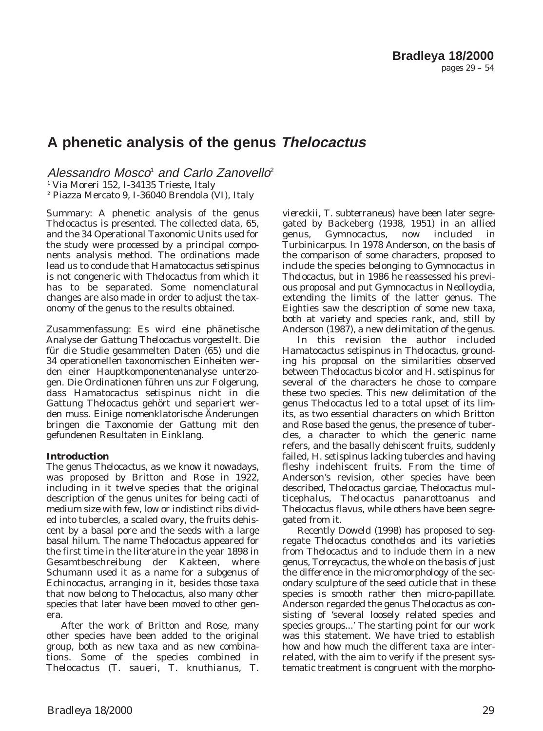# **A phenetic analysis of the genus Thelocactus**

Alessandro Mosco<sup> $1$ </sup> and Carlo Zanovello<sup>2</sup>

<sup>1</sup> Via Moreri 152, I-34135 Trieste, Italy

<sup>2</sup> Piazza Mercato 9, I-36040 Brendola (VI), Italy

*Summary*: A phenetic analysis of the genus *Thelocactus* is presented. The collected data, 65, and the 34 Operational Taxonomic Units used for the study were processed by a principal components analysis method. The ordinations made lead us to conclude that *Hamatocactus setispinus* is not congeneric with *Thelocactus* from which it has to be separated. Some nomenclatural changes are also made in order to adjust the taxonomy of the genus to the results obtained.

*Zusammenfassung*: Es wird eine phänetische Analyse der Gattung *Thelocactus* vorgestellt. Die für die Studie gesammelten Daten (65) und die 34 operationellen taxonomischen Einheiten werden einer Hauptkomponentenanalyse unterzogen. Die Ordinationen führen uns zur Folgerung, dass *Hamatocactus setispinus* nicht in die Gattung *Thelocactus* gehört und separiert werden muss. Einige nomenklatorische Änderungen bringen die Taxonomie der Gattung mit den gefundenen Resultaten in Einklang.

# **Introduction**

The genus *Thelocactus*, as we know it nowadays, was proposed by Britton and Rose in 1922, including in it twelve species that the original description of the genus unites for being cacti of medium size with few, low or indistinct ribs divided into tubercles, a scaled ovary, the fruits dehiscent by a basal pore and the seeds with a large basal hilum. The name *Thelocactus* appeared for the first time in the literature in the year 1898 in Gesamtbeschreibung der Kakteen, where Schumann used it as a name for a subgenus of *Echinocactus*, arranging in it, besides those taxa that now belong to *Thelocactus*, also many other species that later have been moved to other genera.

After the work of Britton and Rose, many other species have been added to the original group, both as new taxa and as new combinations. Some of the species combined in *Thelocactus* (*T*. *saueri*, *T*. *knuthianus*, *T*.

*viereckii*, *T*. *subterraneus*) have been later segregated by Backeberg (1938, 1951) in an allied genus, *Gymnocactus*, now included in *Turbinicarpus*. In 1978 Anderson, on the basis of the comparison of some characters, proposed to include the species belonging to *Gymnocactus* in *Thelocactus*, but in 1986 he reassessed his previous proposal and put *Gymnocactus* in *Neolloydia*, extending the limits of the latter genus. The Eighties saw the description of some new taxa, both at variety and species rank, and, still by Anderson (1987), a new delimitation of the genus.

In this revision the author included *Hamatocactus setispinus* in *Thelocactus*, grounding his proposal on the similarities observed between *Thelocactus bicolor* and *H*. *setispinus* for several of the characters he chose to compare these two species. This new delimitation of the genus *Thelocactus* led to a total upset of its limits, as two essential characters on which Britton and Rose based the genus, the presence of tubercles, a character to which the generic name refers, and the basally dehiscent fruits, suddenly failed, *H*. *setispinus* lacking tubercles and having fleshy indehiscent fruits. From the time of Anderson's revision, other species have been described, *Thelocactus garciae*, *Thelocactus multicephalus*, *Thelocactus panarottoanus* and *Thelocactus flavus*, while others have been segregated from it.

Recently Doweld (1998) has proposed to segregate *Thelocactus conothelos* and its varieties from *Thelocactus* and to include them in a new genus, *Torreycactus*, the whole on the basis of just the difference in the micromorphology of the secondary sculpture of the seed cuticle that in these species is smooth rather then micro-papillate. Anderson regarded the genus *Thelocactus* as consisting of 'several loosely related species and species groups...' The starting point for our work was this statement. We have tried to establish how and how much the different taxa are interrelated, with the aim to verify if the present systematic treatment is congruent with the morpho-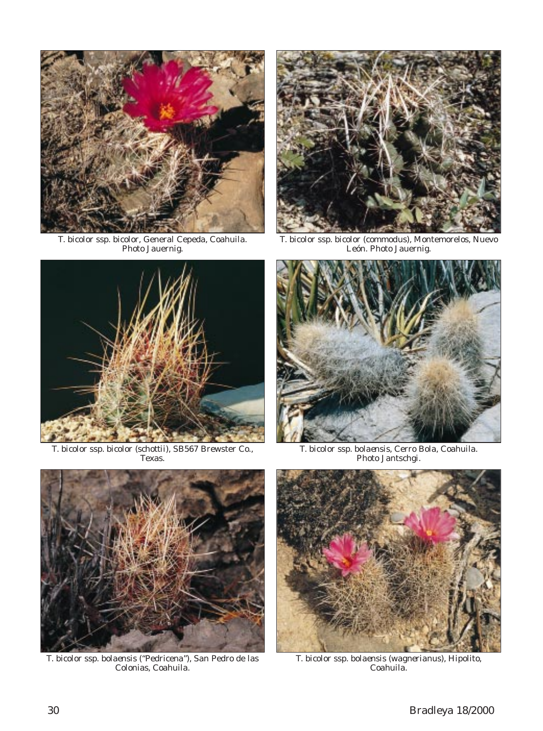

*T. bicolor* ssp. *bicolor*, General Cepeda, Coahuila. Photo Jauernig.



*T. bicolor* ssp. *bicolor* (*commodus*), Montemorelos, Nuevo León. Photo Jauernig.



*T. bicolor* ssp. *bicolor* (*schottii*), SB567 Brewster Co., Texas.



*T. bicolor* ssp. *bolaensis*, Cerro Bola, Coahuila. Photo Jantschgi.



*T. bicolor* ssp. *bolaensis* ("Pedricena"), San Pedro de las Colonias, Coahuila.



*T. bicolor* ssp. *bolaensis* (*wagnerianus*), Hipolito, Coahuila.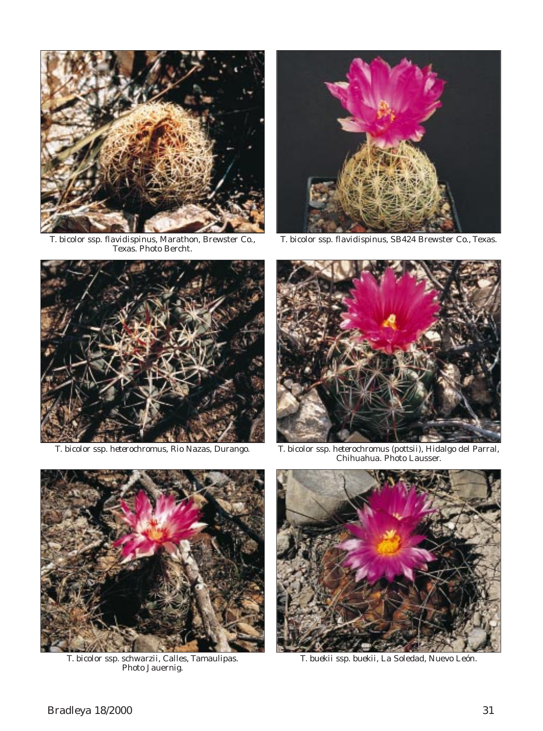

*T. bicolor* ssp. *flavidispinus*, Marathon, Brewster Co., Texas. Photo Bercht.



*T. bicolor* ssp. *flavidispinus*, SB424 Brewster Co., Texas.





*T. bicolor* ssp. *heterochromus*, Rio Nazas, Durango. *T. bicolor* ssp. *heterochromus* (*pottsii*), Hidalgo del Parral, Chihuahua. Photo Lausser.



*T. bicolor* ssp. *schwarzii*, Calles, Tamaulipas. Photo Jauernig.



*T. buekii* ssp. *buekii*, La Soledad, Nuevo León.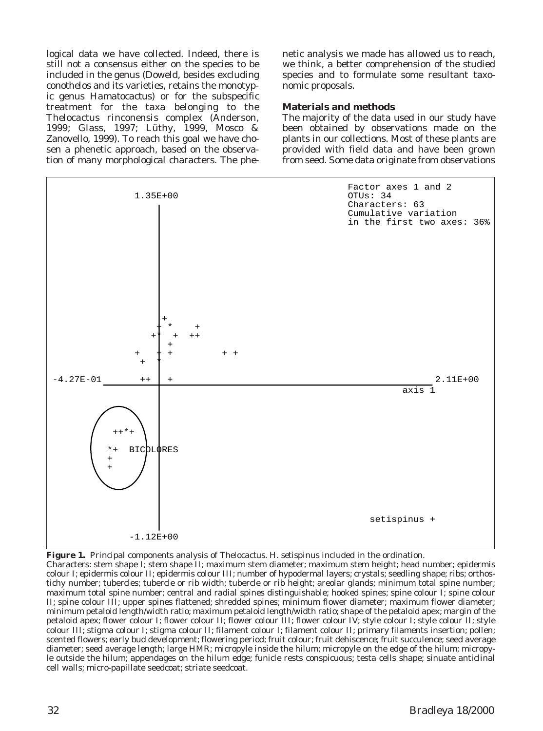logical data we have collected. Indeed, there is still not a consensus either on the species to be included in the genus (Doweld, besides excluding *conothelos* and its varieties, retains the monotypic genus *Hamatocactus*) or for the subspecific treatment for the taxa belonging to the *Thelocactus rinconensis* complex (Anderson, 1999; Glass, 1997; Lüthy, 1999, Mosco & Zanovello, 1999). To reach this goal we have chosen a phenetic approach, based on the observation of many morphological characters. The phenetic analysis we made has allowed us to reach, we think, a better comprehension of the studied species and to formulate some resultant taxonomic proposals.

### **Materials and methods**

The majority of the data used in our study have been obtained by observations made on the plants in our collections. Most of these plants are provided with field data and have been grown from seed. Some data originate from observations



**Figure 1.** Principal components analysis of *Thelocactus*. *H. setispinus* included in the ordination.

Characters: stem shape I; stem shape II; maximum stem diameter; maximum stem height; head number; epidermis colour I; epidermis colour II; epidermis colour III; number of hypodermal layers; crystals; seedling shape; ribs; orthostichy number; tubercles; tubercle or rib width; tubercle or rib height; areolar glands; minimum total spine number; maximum total spine number; central and radial spines distinguishable; hooked spines; spine colour I; spine colour II; spine colour III; upper spines flattened; shredded spines; minimum flower diameter; maximum flower diameter; minimum petaloid length/width ratio; maximum petaloid length/width ratio; shape of the petaloid apex; margin of the petaloid apex; flower colour I; flower colour II; flower colour III; flower colour IV; style colour I; style colour II; style colour III; stigma colour I; stigma colour II; filament colour I; filament colour II; primary filaments insertion; pollen; scented flowers; early bud development; flowering period; fruit colour; fruit dehiscence; fruit succulence; seed average diameter; seed average length; large HMR; micropyle inside the hilum; micropyle on the edge of the hilum; micropyle outside the hilum; appendages on the hilum edge; funicle rests conspicuous; testa cells shape; sinuate anticlinal cell walls; micro-papillate seedcoat; striate seedcoat.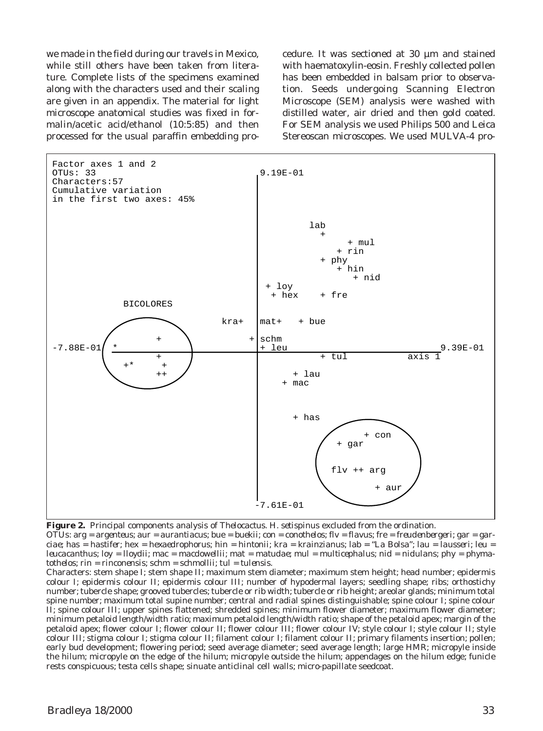we made in the field during our travels in Mexico, while still others have been taken from literature. Complete lists of the specimens examined along with the characters used and their scaling are given in an appendix. The material for light microscope anatomical studies was fixed in formalin/acetic acid/ethanol (10:5:85) and then processed for the usual paraffin embedding procedure. It was sectioned at 30 µm and stained with haematoxylin-eosin. Freshly collected pollen has been embedded in balsam prior to observation. Seeds undergoing Scanning Electron Microscope (SEM) analysis were washed with distilled water, air dried and then gold coated. For SEM analysis we used Philips 500 and Leica Stereoscan microscopes. We used MULVA-4 pro-



**Figure 2.** Principal components analysis of *Thelocactus*. *H. setispinus* excluded from the ordination. OTUs: arg = *argenteus*; aur = *aurantiacus*; bue = *buekii*; con = *conothelos*; flv = *flavus*; fre = *freudenbergeri*; gar = *garciae*; has = *hastifer*; hex = *hexaedrophorus*; hin = *hintonii*; kra = *krainzianus*; lab = "La Bolsa"; lau = *lausseri*; leu = *leucacanthus*; loy = *lloydii*; mac = *macdowellii*; mat = *matudae*; mul = *multicephalus*; nid = *nidulans*; phy = *phymatothelos*; rin = *rinconensis*; schm = *schmollii*; tul = *tulensis*.

Characters: stem shape I; stem shape II; maximum stem diameter; maximum stem height; head number; epidermis colour I; epidermis colour II; epidermis colour III; number of hypodermal layers; seedling shape; ribs; orthostichy number; tubercle shape; grooved tubercles; tubercle or rib width; tubercle or rib height; areolar glands; minimum total spine number; maximum total supine number; central and radial spines distinguishable; spine colour I; spine colour II; spine colour III; upper spines flattened; shredded spines; minimum flower diameter; maximum flower diameter; minimum petaloid length/width ratio; maximum petaloid length/width ratio; shape of the petaloid apex; margin of the petaloid apex; flower colour I; flower colour II; flower colour III; flower colour IV; style colour I; style colour II; style colour III; stigma colour I; stigma colour II; filament colour I; filament colour II; primary filaments insertion; pollen; early bud development; flowering period; seed average diameter; seed average length; large HMR; micropyle inside the hilum; micropyle on the edge of the hilum; micropyle outside the hilum; appendages on the hilum edge; funicle rests conspicuous; testa cells shape; sinuate anticlinal cell walls; micro-papillate seedcoat.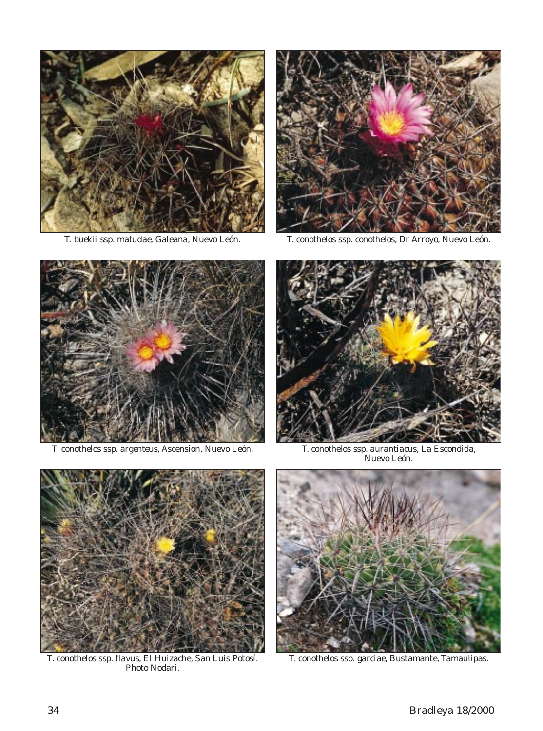



*T. buekii* ssp. *matudae*, Galeana, Nuevo León. *T. conothelos* ssp. *conothelos*, Dr Arroyo, Nuevo León.



*T. conothelos* ssp. *argenteus*, Ascension, Nuevo León. *T. conothelos* ssp. *aurantiacus*, La Escondida,



T. conothelos ssp. aurantiacus, La Escondida,<br>Nuevo León.



*T. conothelos* ssp. *flavus*, El Huizache, San Luis Potosí. Photo Nodari.



*T. conothelos* ssp. *garciae*, Bustamante, Tamaulipas.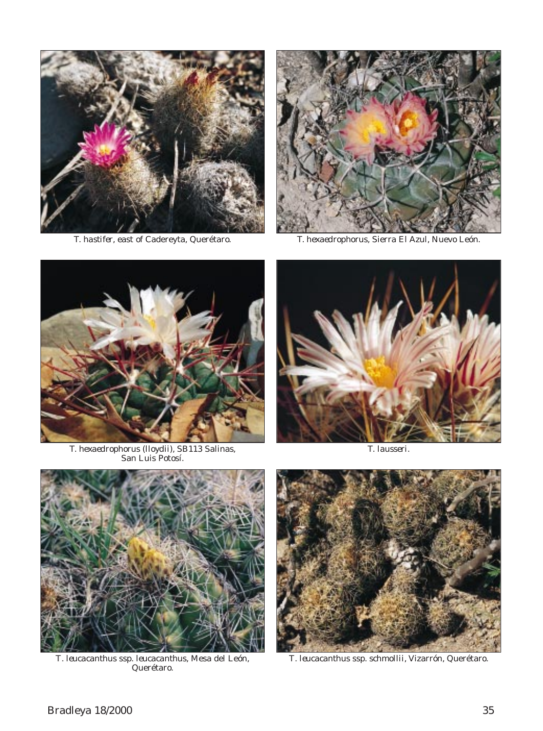



*T. hastifer*, east of Cadereyta, Querétaro. *T. hexaedrophorus*, Sierra El Azul, Nuevo León.



*T. hexaedrophorus* (*lloydii*), SB113 Salinas, San Luis Potosí.



*T. lausseri*.



*T*. *leucacanthus* ssp. *leucacanthus*, Mesa del León, Querétaro.



*T*. *leucacanthus* ssp. *schmollii*, Vizarrón, Querétaro.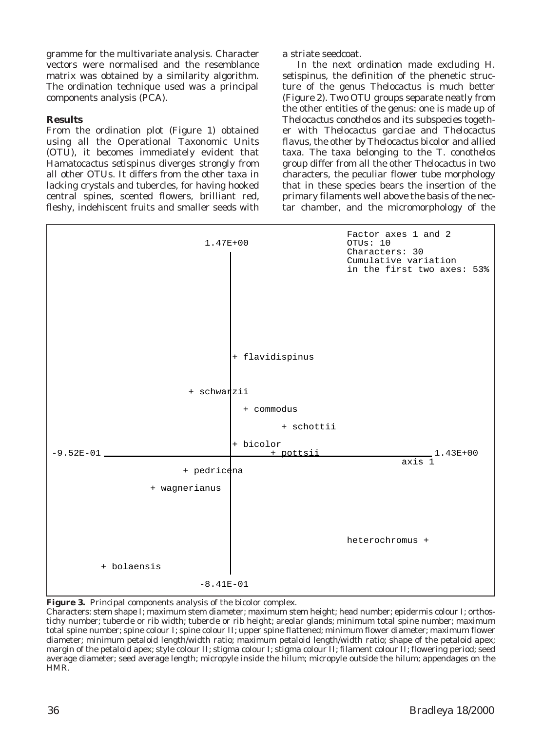gramme for the multivariate analysis. Character vectors were normalised and the resemblance matrix was obtained by a similarity algorithm. The ordination technique used was a principal components analysis (PCA).

### **Results**

From the ordination plot (Figure 1) obtained using all the Operational Taxonomic Units (OTU), it becomes immediately evident that *Hamatocactus setispinus* diverges strongly from all other OTUs. It differs from the other taxa in lacking crystals and tubercles, for having hooked central spines, scented flowers, brilliant red, fleshy, indehiscent fruits and smaller seeds with a striate seedcoat.

In the next ordination made excluding *H*. *setispinus*, the definition of the phenetic structure of the genus *Thelocactus* is much better (Figure 2). Two OTU groups separate neatly from the other entities of the genus: one is made up of *Thelocactus conothelos* and its subspecies together with *Thelocactus garciae* and *Thelocactus flavus*, the other by *Thelocactus bicolor* and allied taxa. The taxa belonging to the *T*. *conothelos* group differ from all the other *Thelocactus* in two characters, the peculiar flower tube morphology that in these species bears the insertion of the primary filaments well above the basis of the nectar chamber, and the micromorphology of the





Characters: stem shape I; maximum stem diameter; maximum stem height; head number; epidermis colour I; orthostichy number; tubercle or rib width; tubercle or rib height; areolar glands; minimum total spine number; maximum total spine number; spine colour I; spine colour II; upper spine flattened; minimum flower diameter; maximum flower diameter; minimum petaloid length/width ratio; maximum petaloid length/width ratio; shape of the petaloid apex; margin of the petaloid apex; style colour II; stigma colour I; stigma colour II; filament colour II; flowering period; seed average diameter; seed average length; micropyle inside the hilum; micropyle outside the hilum; appendages on the HMR.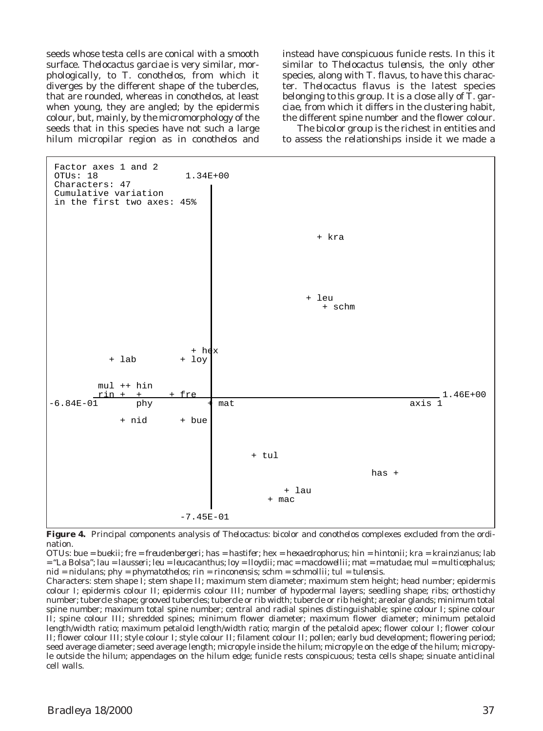seeds whose testa cells are conical with a smooth surface. *Thelocactus garciae* is very similar, morphologically, to *T*. *conothelos*, from which it diverges by the different shape of the tubercles, that are rounded, whereas in *conothelos*, at least when young, they are angled; by the epidermis colour, but, mainly, by the micromorphology of the seeds that in this species have not such a large hilum micropilar region as in *conothelos* and instead have conspicuous funicle rests. In this it similar to *Thelocactus tulensis*, the only other species, along with *T*. *flavus*, to have this character. *Thelocactus flavus* is the latest species belonging to this group. It is a close ally of *T*. *garciae*, from which it differs in the clustering habit, the different spine number and the flower colour.

The *bicolor* group is the richest in entities and to assess the relationships inside it we made a



**Figure 4.** Principal components analysis of *Thelocactus: bicolor* and *conothelos* complexes excluded from the ordination.

OTUs: bue = *buekii*; fre = *freudenbergeri*; has = *hastifer*; hex = *hexaedrophorus*; hin = *hintonii*; kra = *krainzianus*; lab = "La Bolsa"; lau = *lausseri*; leu = *leucacanthus*; loy = *lloydii*; mac = *macdowellii*; mat = *matudae*; mul = *multicephalus*; nid = *nidulans*; phy = *phymatothelos*; rin = *rinconensis*; schm = *schmollii*; tul = *tulensis*.

Characters: stem shape I; stem shape II; maximum stem diameter; maximum stem height; head number; epidermis colour I; epidermis colour II; epidermis colour III; number of hypodermal layers; seedling shape; ribs; orthostichy number; tubercle shape; grooved tubercles; tubercle or rib width; tubercle or rib height; areolar glands; minimum total spine number; maximum total spine number; central and radial spines distinguishable; spine colour I; spine colour II; spine colour III; shredded spines; minimum flower diameter; maximum flower diameter; minimum petaloid length/width ratio; maximum petaloid length/width ratio; margin of the petaloid apex; flower colour I; flower colour II; flower colour III; style colour I; style colour II; filament colour II; pollen; early bud development; flowering period; seed average diameter; seed average length; micropyle inside the hilum; micropyle on the edge of the hilum; micropyle outside the hilum; appendages on the hilum edge; funicle rests conspicuous; testa cells shape; sinuate anticlinal cell walls.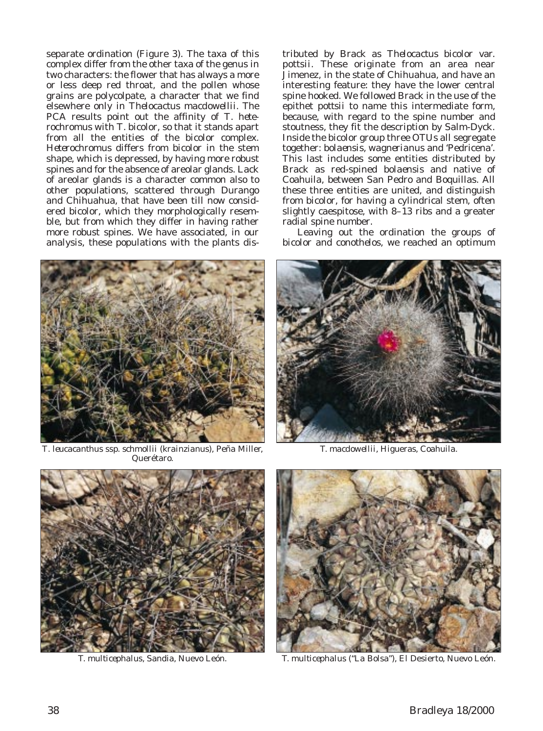separate ordination (Figure 3). The taxa of this complex differ from the other taxa of the genus in two characters: the flower that has always a more or less deep red throat, and the pollen whose grains are polycolpate, a character that we find elsewhere only in *Thelocactus macdowellii*. The PCA results point out the affinity of *T*. *heterochromus* with *T*. *bicolor*, so that it stands apart from all the entities of the *bicolor* complex. *Heterochromus* differs from *bicolor* in the stem shape, which is depressed, by having more robust spines and for the absence of areolar glands. Lack of areolar glands is a character common also to other populations, scattered through Durango and Chihuahua, that have been till now considered *bicolor*, which they morphologically resemble, but from which they differ in having rather more robust spines. We have associated, in our analysis, these populations with the plants distributed by Brack as *Thelocactus bicolor* var. *pottsii*. These originate from an area near Jimenez, in the state of Chihuahua, and have an interesting feature: they have the lower central spine hooked. We followed Brack in the use of the epithet *pottsii* to name this intermediate form, because, with regard to the spine number and stoutness, they fit the description by Salm-Dyck. Inside the *bicolor* group three OTUs all segregate together: *bolaensis*, *wagnerianus* and 'Pedricena'. This last includes some entities distributed by Brack as red-spined *bolaensis* and native of Coahuila, between San Pedro and Boquillas. All these three entities are united, and distinguish from *bicolor*, for having a cylindrical stem, often slightly caespitose, with 8–13 ribs and a greater radial spine number.

Leaving out the ordination the groups of *bicolor* and *conothelos*, we reached an optimum



*T*. *leucacanthus* ssp. *schmollii* (*krainzianus*), Peña Miller, Querétaro.



*T. macdowellii*, Higueras, Coahuila.





*T. multicephalus*, Sandia, Nuevo León. *T. multicephalus* ("La Bolsa"), El Desierto, Nuevo León.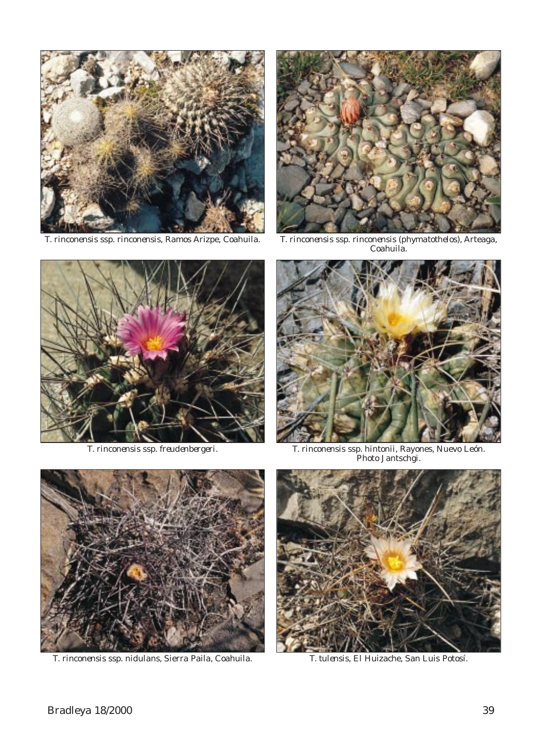



*T. rinconensis* ssp. *rinconensis*, Ramos Arizpe, Coahuila. *T. rinconensis* ssp. *rinconensis* (*phymatothelos*), Arteaga, Coahuila.





*T. rinconensis* ssp. *freudenbergeri*. *T. rinconensis* ssp. *hintonii*, Rayones, Nuevo León. Photo Jantschgi.



*T. rinconensis* ssp. *nidulans*, Sierra Paila, Coahuila. *T. tulensis*, El Huizache, San Luis Potosí.

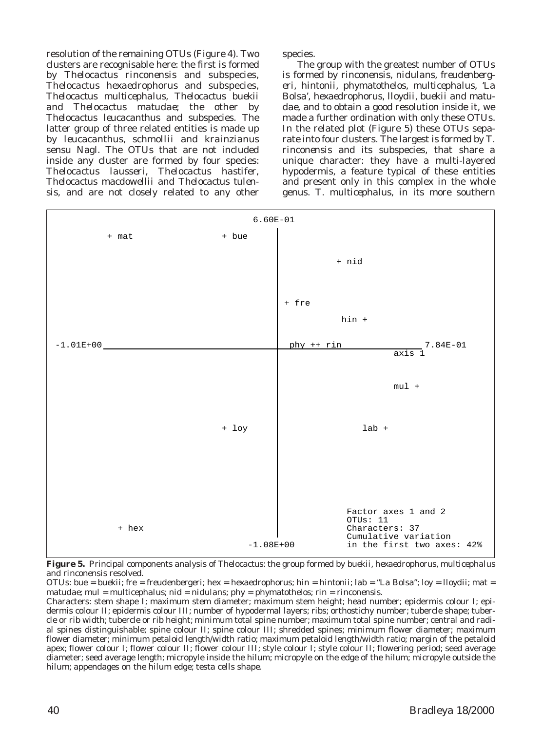resolution of the remaining OTUs (Figure 4). Two clusters are recognisable here: the first is formed by *Thelocactus rinconensis* and subspecies, *Thelocactus hexaedrophorus* and subspecies, *Thelocactus multicephalus*, *Thelocactus buekii* and *Thelocactus matudae*; the other by *Thelocactus leucacanthus* and subspecies. The latter group of three related entities is made up by *leucacanthus*, *schmollii* and *krainzianus* sensu Nagl. The OTUs that are not included inside any cluster are formed by four species: *Thelocactus lausseri*, *Thelocactus hastifer*, *Thelocactus macdowellii* and *Thelocactus tulensis*, and are not closely related to any other

species.

The group with the greatest number of OTUs is formed by *rinconensis*, *nidulans*, *freudenbergeri*, *hintonii*, *phymatothelos*, *multicephalus*, 'La Bolsa', *hexaedrophorus*, *lloydii*, *buekii* and *matudae*, and to obtain a good resolution inside it, we made a further ordination with only these OTUs. In the related plot (Figure 5) these OTUs separate into four clusters. The largest is formed by *T*. *rinconensis* and its subspecies, that share a unique character: they have a multi-layered hypodermis, a feature typical of these entities and present only in this complex in the whole genus. *T*. *multicephalus*, in its more southern



**Figure 5.** Principal components analysis of *Thelocactus*: the group formed by *buekii*, *hexaedrophorus*, *multicephalus* and *rinconensis* resolved.

OTUs: bue = *buekii*; fre = *freudenbergeri*; hex = *hexaedrophorus*; hin = *hintonii*; lab = "La Bolsa"; loy = *lloydii*; mat = *matudae*; mul = *multicephalus*; nid = *nidulans*; phy = *phymatothelos*; rin = *rinconensis*.

Characters: stem shape I; maximum stem diameter; maximum stem height; head number; epidermis colour I; epidermis colour II; epidermis colour III; number of hypodermal layers; ribs; orthostichy number; tubercle shape; tubercle or rib width; tubercle or rib height; minimum total spine number; maximum total spine number; central and radial spines distinguishable; spine colour II; spine colour III; shredded spines; minimum flower diameter; maximum flower diameter; minimum petaloid length/width ratio; maximum petaloid length/width ratio; margin of the petaloid apex; flower colour I; flower colour II; flower colour III; style colour I; style colour II; flowering period; seed average diameter; seed average length; micropyle inside the hilum; micropyle on the edge of the hilum; micropyle outside the hilum; appendages on the hilum edge; testa cells shape.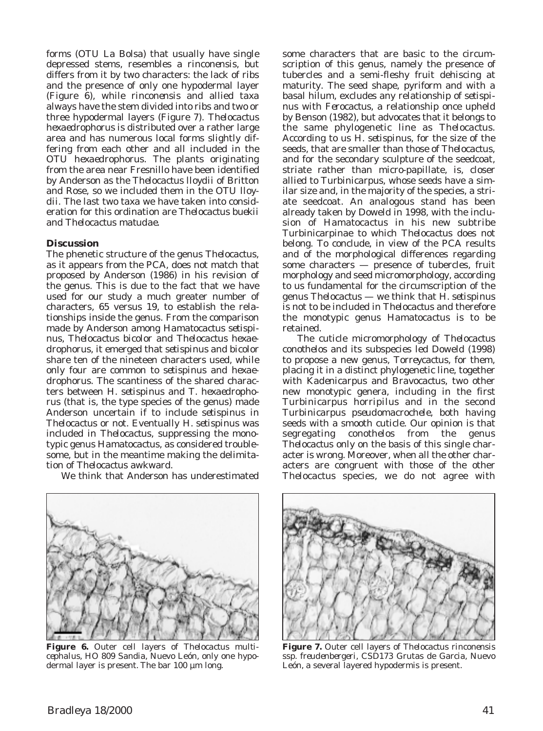forms (OTU La Bolsa) that usually have single depressed stems, resembles a *rinconensis*, but differs from it by two characters: the lack of ribs and the presence of only one hypodermal layer (Figure 6), while *rinconensis* and allied taxa always have the stem divided into ribs and two or three hypodermal layers (Figure 7). *Thelocactus hexaedrophorus* is distributed over a rather large area and has numerous local forms slightly differing from each other and all included in the OTU *hexaedrophorus*. The plants originating from the area near Fresnillo have been identified by Anderson as the *Thelocactus lloydii* of Britton and Rose, so we included them in the OTU *lloydii*. The last two taxa we have taken into consideration for this ordination are *Thelocactus buekii* and *Thelocactus matudae*.

### **Discussion**

The phenetic structure of the genus *Thelocactus*, as it appears from the PCA, does not match that proposed by Anderson (1986) in his revision of the genus. This is due to the fact that we have used for our study a much greater number of characters, 65 versus 19, to establish the relationships inside the genus. From the comparison made by Anderson among *Hamatocactus setispinus*, *Thelocactus bicolor* and *Thelocactus hexaedrophorus*, it emerged that *setispinus* and *bicolor* share ten of the nineteen characters used, while only four are common to *setispinus* and *hexaedrophorus*. The scantiness of the shared characters between *H*. *setispinus* and *T*. *hexaedrophorus* (that is, the type species of the genus) made Anderson uncertain if to include *setispinus* in *Thelocactus* or not. Eventually *H*. *setispinus* was included in *Thelocactus*, suppressing the monotypic genus *Hamatocactus*, as considered troublesome, but in the meantime making the delimitation of *Thelocactus* awkward.

We think that Anderson has underestimated

some characters that are basic to the circumscription of this genus, namely the presence of tubercles and a semi-fleshy fruit dehiscing at maturity. The seed shape, pyriform and with a basal hilum, excludes any relationship of *setispinus* with *Ferocactus*, a relationship once upheld by Benson (1982), but advocates that it belongs to the same phylogenetic line as *Thelocactus*. According to us *H*. *setispinus*, for the size of the seeds, that are smaller than those of *Thelocactus*, and for the secondary sculpture of the seedcoat, striate rather than micro-papillate, is, closer allied to *Turbinicarpus*, whose seeds have a similar size and, in the majority of the species, a striate seedcoat. An analogous stand has been already taken by Doweld in 1998, with the inclusion of *Hamatocactus* in his new subtribe Turbinicarpinae to which *Thelocactus* does not belong. To conclude, in view of the PCA results and of the morphological differences regarding some characters — presence of tubercles, fruit morphology and seed micromorphology, according to us fundamental for the circumscription of the genus *Thelocactus* — we think that *H*. *setispinus* is not to be included in *Thelocactus* and therefore the monotypic genus *Hamatocactus* is to be retained.

The cuticle micromorphology of *Thelocactus conothelos* and its subspecies led Doweld (1998) to propose a new genus, *Torreycactus*, for them, placing it in a distinct phylogenetic line, together with *Kadenicarpus* and *Bravocactus*, two other new monotypic genera, including in the first *Turbinicarpus horripilus* and in the second *Turbinicarpus pseudomacrochele*, both having seeds with a smooth cuticle. Our opinion is that segregating *conothelos* from the genus *Thelocactus* only on the basis of this single character is wrong. Moreover, when all the other characters are congruent with those of the other *Thelocactus* species, we do not agree with



**Figure 6.** Outer cell layers of *Thelocactus multicephalus*, HO 809 Sandia, Nuevo León, only one hypodermal layer is present. The bar 100 µm long.



**Figure 7.** Outer cell layers of *Thelocactus rinconensis* ssp. *freudenbergeri*, CSD173 Grutas de Garcia, Nuevo León, a several layered hypodermis is present.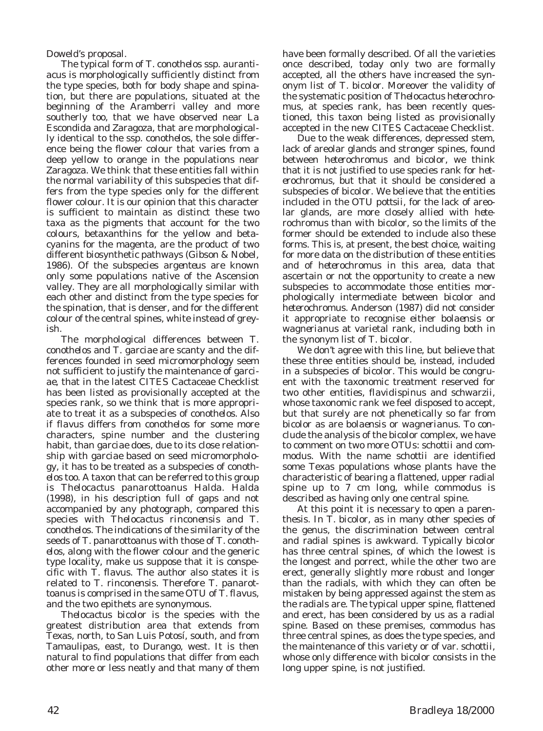Doweld's proposal.

The typical form of *T*. *conothelos* ssp. *aurantiacus* is morphologically sufficiently distinct from the type species, both for body shape and spination, but there are populations, situated at the beginning of the Aramberri valley and more southerly too, that we have observed near La Escondida and Zaragoza, that are morphologically identical to the ssp. *conothelos*, the sole difference being the flower colour that varies from a deep yellow to orange in the populations near Zaragoza. We think that these entities fall within the normal variability of this subspecies that differs from the type species only for the different flower colour. It is our opinion that this character is sufficient to maintain as distinct these two taxa as the pigments that account for the two colours, betaxanthins for the yellow and betacyanins for the magenta, are the product of two different biosynthetic pathways (Gibson & Nobel, 1986). Of the subspecies *argenteus* are known only some populations native of the Ascension valley. They are all morphologically similar with each other and distinct from the type species for the spination, that is denser, and for the different colour of the central spines, white instead of greyish.

The morphological differences between *T*. *conothelos* and *T*. *garciae* are scanty and the differences founded in seed micromorphology seem not sufficient to justify the maintenance of *garciae*, that in the latest CITES Cactaceae Checklist has been listed as provisionally accepted at the species rank, so we think that is more appropriate to treat it as a subspecies of *conothelos*. Also if *flavus* differs from *conothelos* for some more characters, spine number and the clustering habit, than *garciae* does, due to its close relationship with *garciae* based on seed micromorphology, it has to be treated as a subspecies of *conothelos* too. A taxon that can be referred to this group is *Thelocactus panarottoanus* Halda. Halda (1998), in his description full of gaps and not accompanied by any photograph, compared this species with *Thelocactus rinconensis* and *T*. *conothelos*. The indications of the similarity of the seeds of *T*. *panarottoanus* with those of *T*. *conothelos*, along with the flower colour and the generic type locality, make us suppose that it is conspecific with *T*. *flavus*. The author also states it is related to *T*. *rinconensis*. Therefore *T*. *panarottoanus* is comprised in the same OTU of *T*. *flavus*, and the two epithets are synonymous.

*Thelocactus bicolor* is the species with the greatest distribution area that extends from Texas, north, to San Luis Potosí, south, and from Tamaulipas, east, to Durango, west. It is then natural to find populations that differ from each other more or less neatly and that many of them

have been formally described. Of all the varieties once described, today only two are formally accepted, all the others have increased the synonym list of *T*. *bicolor*. Moreover the validity of the systematic position of *Thelocactus heterochromus*, at species rank, has been recently questioned, this taxon being listed as provisionally accepted in the new CITES Cactaceae Checklist.

Due to the weak differences, depressed stem, lack of areolar glands and stronger spines, found between *heterochromus* and *bicolor*, we think that it is not justified to use species rank for *heterochromus*, but that it should be considered a subspecies of *bicolor*. We believe that the entities included in the OTU *pottsii*, for the lack of areolar glands, are more closely allied with *heterochromus* than with *bicolor*, so the limits of the former should be extended to include also these forms. This is, at present, the best choice, waiting for more data on the distribution of these entities and of *heterochromus* in this area, data that ascertain or not the opportunity to create a new subspecies to accommodate those entities morphologically intermediate between *bicolor* and *heterochromus*. Anderson (1987) did not consider it appropriate to recognise either *bolaensis* or *wagnerianus* at varietal rank, including both in the synonym list of *T*. *bicolor*.

We don't agree with this line, but believe that these three entities should be, instead, included in a subspecies of *bicolor*. This would be congruent with the taxonomic treatment reserved for two other entities, *flavidispinus* and *schwarzii*, whose taxonomic rank we feel disposed to accept, but that surely are not phenetically so far from *bicolor* as are *bolaensis* or *wagnerianus*. To conclude the analysis of the *bicolor* complex, we have to comment on two more OTUs: *schottii* and *commodus*. With the name *schottii* are identified some Texas populations whose plants have the characteristic of bearing a flattened, upper radial spine up to 7 cm long, while *commodus* is described as having only one central spine.

At this point it is necessary to open a parenthesis. In *T*. *bicolor*, as in many other species of the genus, the discrimination between central and radial spines is awkward. Typically *bicolor* has three central spines, of which the lowest is the longest and porrect, while the other two are erect, generally slightly more robust and longer than the radials, with which they can often be mistaken by being appressed against the stem as the radials are. The typical upper spine, flattened and erect, has been considered by us as a radial spine. Based on these premises, *commodus* has three central spines, as does the type species, and the maintenance of this variety or of var. *schottii*, whose only difference with *bicolor* consists in the long upper spine, is not justified.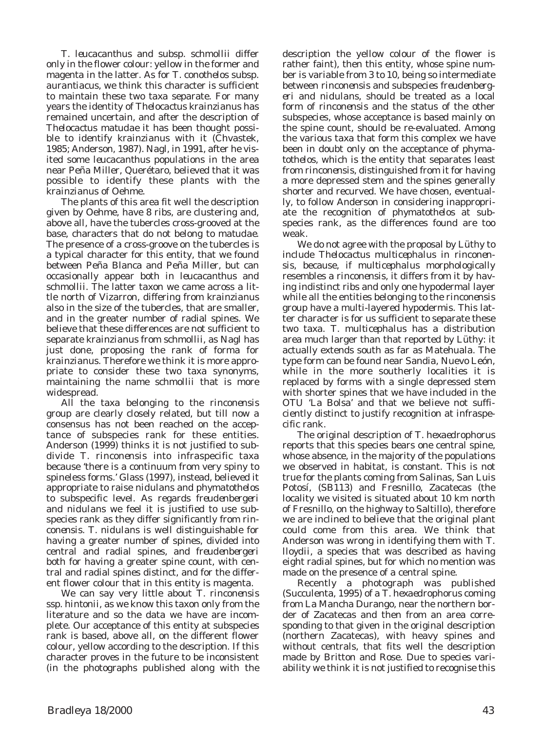*T*. *leucacanthus* and subsp. *schmollii* differ only in the flower colour: yellow in the former and magenta in the latter. As for *T*. *conothelos* subsp. *aurantiacus*, we think this character is sufficient to maintain these two taxa separate. For many years the identity of *Thelocactus krainzianus* has remained uncertain, and after the description of *Thelocactus matudae* it has been thought possible to identify *krainzianus* with it (Chvastek, 1985; Anderson, 1987). Nagl, in 1991, after he visited some *leucacanthus* populations in the area near Peña Miller, Querétaro, believed that it was possible to identify these plants with the *krainzianus* of Oehme.

The plants of this area fit well the description given by Oehme, have 8 ribs, are clustering and, above all, have the tubercles cross-grooved at the base, characters that do not belong to *matudae*. The presence of a cross-groove on the tubercles is a typical character for this entity, that we found between Peña Blanca and Peña Miller, but can occasionally appear both in *leucacanthus* and *schmollii*. The latter taxon we came across a little north of Vizarron, differing from *krainzianus* also in the size of the tubercles, that are smaller, and in the greater number of radial spines. We believe that these differences are not sufficient to separate *krainzianus* from *schmollii*, as Nagl has just done, proposing the rank of forma for *krainzianus*. Therefore we think it is more appropriate to consider these two taxa synonyms, maintaining the name *schmollii* that is more widespread.

All the taxa belonging to the *rinconensis* group are clearly closely related, but till now a consensus has not been reached on the acceptance of subspecies rank for these entities. Anderson (1999) thinks it is not justified to subdivide *T*. *rinconensis* into infraspecific taxa because 'there is a continuum from very spiny to spineless forms.' Glass (1997), instead, believed it appropriate to raise *nidulans* and *phymatothelos* to subspecific level. As regards *freudenbergeri* and *nidulans* we feel it is justified to use subspecies rank as they differ significantly from *rinconensis*. *T*. *nidulans* is well distinguishable for having a greater number of spines, divided into central and radial spines, and *freudenbergeri* both for having a greater spine count, with central and radial spines distinct, and for the different flower colour that in this entity is magenta.

We can say very little about *T*. *rinconensis* ssp. *hintonii*, as we know this taxon only from the literature and so the data we have are incomplete. Our acceptance of this entity at subspecies rank is based, above all, on the different flower colour, yellow according to the description. If this character proves in the future to be inconsistent (in the photographs published along with the

description the yellow colour of the flower is rather faint), then this entity, whose spine number is variable from 3 to 10, being so intermediate between *rinconensis* and subspecies *freudenbergeri* and *nidulans*, should be treated as a local form of *rinconensis* and the status of the other subspecies, whose acceptance is based mainly on the spine count, should be re-evaluated. Among the various taxa that form this complex we have been in doubt only on the acceptance of *phymatothelos*, which is the entity that separates least from *rinconensis*, distinguished from it for having a more depressed stem and the spines generally shorter and recurved. We have chosen, eventually, to follow Anderson in considering inappropriate the recognition of *phymatothelos* at subspecies rank, as the differences found are too weak.

We do not agree with the proposal by Lüthy to include *Thelocactus multicephalus* in *rinconensis*, because, if *multicephalus* morphologically resembles a *rinconensis*, it differs from it by having indistinct ribs and only one hypodermal layer while all the entities belonging to the *rinconensis* group have a multi-layered hypodermis. This latter character is for us sufficient to separate these two taxa. *T*. *multicephalus* has a distribution area much larger than that reported by Lüthy: it actually extends south as far as Matehuala. The type form can be found near Sandia, Nuevo León, while in the more southerly localities it is replaced by forms with a single depressed stem with shorter spines that we have included in the OTU 'La Bolsa' and that we believe not sufficiently distinct to justify recognition at infraspecific rank.

The original description of *T*. *hexaedrophorus* reports that this species bears one central spine, whose absence, in the majority of the populations we observed in habitat, is constant. This is not true for the plants coming from Salinas, San Luis Potosí, (SB113) and Fresnillo, Zacatecas (the locality we visited is situated about 10 km north of Fresnillo, on the highway to Saltillo), therefore we are inclined to believe that the original plant could come from this area. We think that Anderson was wrong in identifying them with *T*. *lloydii*, a species that was described as having eight radial spines, but for which no mention was made on the presence of a central spine.

Recently a photograph was published (Succulenta, 1995) of a *T*. *hexaedrophorus* coming from La Mancha Durango, near the northern border of Zacatecas and then from an area corresponding to that given in the original description (northern Zacatecas), with heavy spines and without centrals, that fits well the description made by Britton and Rose. Due to species variability we think it is not justified to recognise this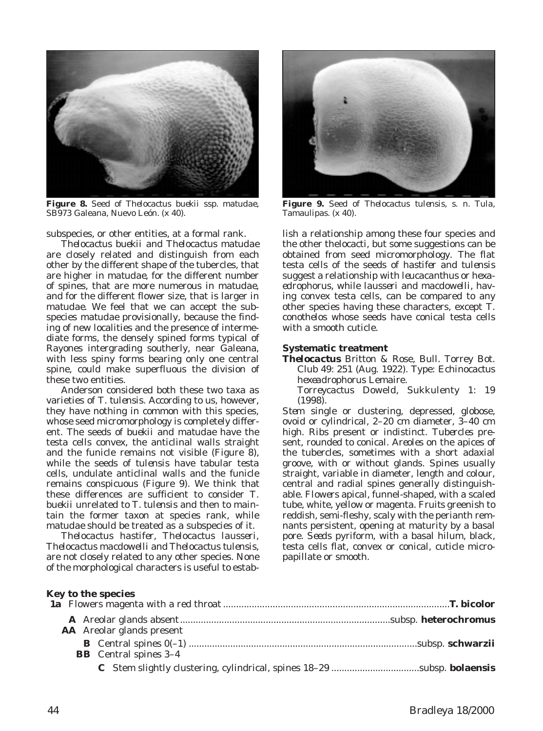

**Figure 8.** Seed of *Thelocactus buekii* ssp. *matudae*, SB973 Galeana, Nuevo León. (x 40).

subspecies, or other entities, at a formal rank.

*Thelocactus buekii* and *Thelocactus matudae* are closely related and distinguish from each other by the different shape of the tubercles, that are higher in *matudae*, for the different number of spines, that are more numerous in *matudae*, and for the different flower size, that is larger in *matudae*. We feel that we can accept the subspecies *matudae* provisionally, because the finding of new localities and the presence of intermediate forms, the densely spined forms typical of Rayones intergrading southerly, near Galeana, with less spiny forms bearing only one central spine, could make superfluous the division of these two entities.

Anderson considered both these two taxa as varieties of *T*. *tulensis*. According to us, however, they have nothing in common with this species, whose seed micromorphology is completely different. The seeds of *buekii* and *matudae* have the testa cells convex, the anticlinal walls straight and the funicle remains not visible (Figure 8), while the seeds of *tulensis* have tabular testa cells, undulate anticlinal walls and the funicle remains conspicuous (Figure 9). We think that these differences are sufficient to consider *T*. *buekii* unrelated to *T*. *tulensis* and then to maintain the former taxon at species rank, while *matudae* should be treated as a subspecies of it.

*Thelocactus hastifer*, *Thelocactus lausseri*, *Thelocactus macdowelli* and *Thelocactus tulensis*, are not closely related to any other species. None of the morphological characters is useful to estab-



**Figure 9.** Seed of *Thelocactus tulensis*, s. n. Tula, Tamaulipas. (x 40).

lish a relationship among these four species and the other thelocacti, but some suggestions can be obtained from seed micromorphology. The flat testa cells of the seeds of *hastifer* and *tulensis* suggest a relationship with *leucacanthus* or *hexaedrophorus*, while *lausseri* and *macdowelli*, having convex testa cells, can be compared to any other species having these characters, except *T*. *conothelos* whose seeds have conical testa cells with a smooth cuticle.

### **Systematic treatment**

- *Thelocactus* Britton & Rose, Bull. Torrey Bot. Club 49: 251 (Aug. 1922). Type: *Echinocactus hexeadrophorus* Lemaire.
	- *Torreycactus* Doweld, Sukkulenty 1: 19 (1998).

*Stem* single or clustering, depressed, globose, ovoid or cylindrical, 2–20 cm diameter, 3–40 cm high. *Ribs* present or indistinct. *Tubercles* present, rounded to conical. *Areoles* on the apices of the tubercles, sometimes with a short adaxial groove, with or without glands. *Spines* usually straight, variable in diameter, length and colour, central and radial spines generally distinguishable. *Flowers* apical, funnel-shaped, with a scaled tube, white, yellow or magenta. *Fruits* greenish to reddish, semi-fleshy, scaly with the perianth remnants persistent, opening at maturity by a basal pore. *Seeds* pyriform, with a basal hilum, black, testa cells flat, convex or conical, cuticle micropapillate or smooth.

### **Key to the species**

| <b>AA</b> Areolar glands present |  |
|----------------------------------|--|
| <b>BB</b> Central spines 3-4     |  |
|                                  |  |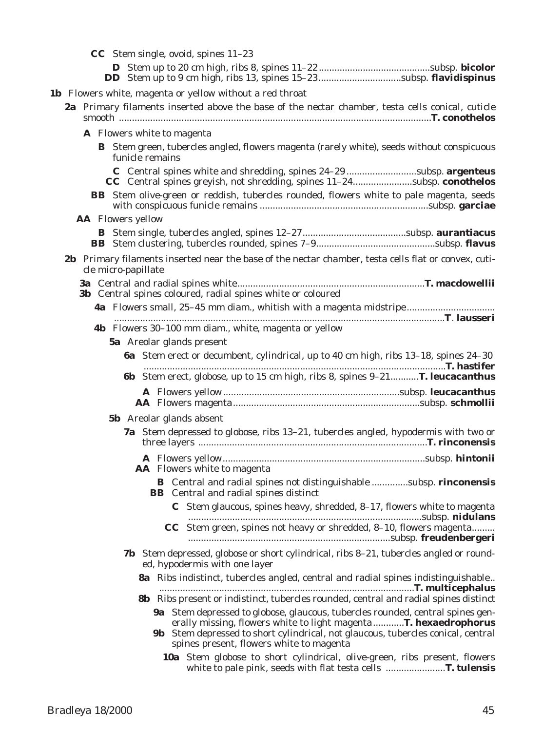**CC** Stem single, ovoid, spines 11–23

- **D** Stem up to 20 cm high, ribs 8, spines 11–22...........................................subsp. **bicolor DD** Stem up to 9 cm high, ribs 13, spines 15–23................................subsp. **flavidispinus**
- **1b** Flowers white, magenta or yellow without a red throat
	- **2a** Primary filaments inserted above the base of the nectar chamber, testa cells conical, cuticle smooth ........................................................................................................................**T. conothelos**
		- **A** Flowers white to magenta **B** Stem green, tubercles angled, flowers magenta (rarely white), seeds without conspicuous funicle remains **C** Central spines white and shredding, spines 24–29 ...........................subsp. **argenteus**
			- **CC** Central spines greyish, not shredding, spines 11–24.......................subsp. **conothelos BB** Stem olive-green or reddish, tubercles rounded, flowers white to pale magenta, seeds
		- with conspicuous funicle remains .................................................................subsp. **garciae AA** Flowers yellow
			- **B** Stem single, tubercles angled, spines 12–27........................................subsp. **aurantiacus BB** Stem clustering, tubercles rounded, spines 7–9..............................................subsp. **flavus**
	- **2b** Primary filaments inserted near the base of the nectar chamber, testa cells flat or convex, cuticle micro-papillate
		- **3a** Central and radial spines white........................................................................**T. macdowellii 3b** Central spines coloured, radial spines white or coloured
			- **4a** Flowers small, 25–45 mm diam., whitish with a magenta midstripe.................................. ...............................................................................................................................**T**. **lausseri 4b** Flowers 30–100 mm diam., white, magenta or yellow **5a** Areolar glands present **6a** Stem erect or decumbent, cylindrical, up to 40 cm high, ribs 13–18, spines 24–30
				- ....................................................................................................................**T. hastifer 6b** Stem erect, globose, up to 15 cm high, ribs 8, spines 9–21...........**T. leucacanthus A** Flowers yellow....................................................................subsp. **leucacanthus AA** Flowers magenta........................................................................subsp. **schmollii**
				- **5b** Areolar glands absent
					- **7a** Stem depressed to globose, ribs 13–21, tubercles angled, hypodermis with two or three layers ........................................................................................**T. rinconensis A** Flowers yellow..............................................................................subsp. **hintonii**
						- **AA** Flowers white to magenta **B** Central and radial spines not distinguishable ..............subsp. **rinconensis BB** Central and radial spines distinct
							- **C** Stem glaucous, spines heavy, shredded, 8–17, flowers white to magenta ..........................................................................................subsp. **nidulans CC** Stem green, spines not heavy or shredded, 8–10, flowers magenta......... ..............................................................................subsp. **freudenbergeri**
					- **7b** Stem depressed, globose or short cylindrical, ribs 8–21, tubercles angled or rounded, hypodermis with one layer
						- **8a** Ribs indistinct, tubercles angled, central and radial spines indistinguishable.. ..................................................................................................**T. multicephalus**
						- **8b** Ribs present or indistinct, tubercles rounded, central and radial spines distinct **9a** Stem depressed to globose, glaucous, tubercles rounded, central spines gen
							- erally missing, flowers white to light magenta............**T. hexaedrophorus**
							- **9b** Stem depressed to short cylindrical, not glaucous, tubercles conical, central spines present, flowers white to magenta
								- **10a** Stem globose to short cylindrical, olive-green, ribs present, flowers white to pale pink, seeds with flat testa cells .......................**T. tulensis**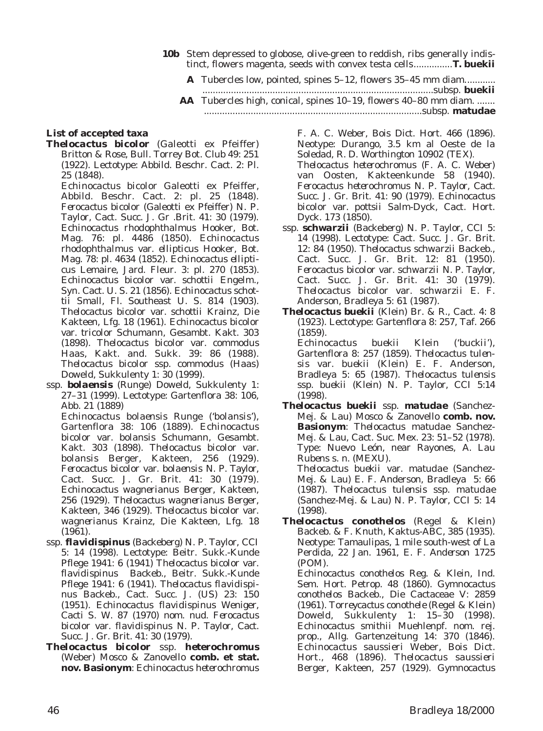- **10b** Stem depressed to globose, olive-green to reddish, ribs generally indistinct, flowers magenta, seeds with convex testa cells...............**T. buekii**
	- **A** Tubercles low, pointed, spines 5–12, flowers 35–45 mm diam............
	- .........................................................................................subsp. **buekii AA** Tubercles high, conical, spines 10–19, flowers 40–80 mm diam. ....... ....................................................................................subsp. **matudae**

### **List of accepted taxa**

*Thelocactus bicolor* (Galeotti ex Pfeiffer) Britton & Rose, Bull. Torrey Bot. Club 49: 251 (1922). Lectotype: Abbild. Beschr. Cact. 2: Pl. 25 (1848).

*Echinocactus bicolor* Galeotti ex Pfeiffer, Abbild. Beschr. Cact. 2: pl. 25 (1848). *Ferocactus bicolor* (Galeotti ex Pfeiffer) N. P. Taylor, Cact. Succ. J. Gr .Brit. 41: 30 (1979). *Echinocactus rhodophthalmus* Hooker, Bot. Mag. 76: pl. 4486 (1850). *Echinocactus rhodophthalmus* var. *ellipticus* Hooker, Bot. Mag. 78: pl. 4634 (1852). *Echinocactus ellipticus* Lemaire, Jard. Fleur. 3: pl. 270 (1853). *Echinocactus bicolor* var. *schottii* Engelm., Syn. Cact. U. S. 21 (1856). *Echinocactus schottii* Small, Fl. Southeast U. S. 814 (1903). *Thelocactus bicolor* var. *schottii* Krainz, Die Kakteen, Lfg. 18 (1961). *Echinocactus bicolor* var. *tricolor* Schumann, Gesambt. Kakt. 303 (1898). *Thelocactus bicolor* var. *commodus* Haas, Kakt. and. Sukk. 39: 86 (1988). *Thelocactus bicolor* ssp. *commodus* (Haas) Doweld, Sukkulenty 1: 30 (1999).

ssp. *bolaensis* (Runge) Doweld, Sukkulenty 1: 27–31 (1999). Lectotype: Gartenflora 38: 106, Abb. 21 (1889)

*Echinocactus bolaensis* Runge ('*bolansis*'), Gartenflora 38: 106 (1889). *Echinocactus bicolor* var. *bolansis* Schumann, Gesambt. Kakt. 303 (1898). *Thelocactus bicolor* var. *bolansis* Berger, Kakteen, 256 (1929). *Ferocactus bicolor* var. *bolaensis* N. P. Taylor, Cact. Succ. J. Gr. Brit. 41: 30 (1979). *Echinocactus wagnerianus* Berger, Kakteen, 256 (1929). *Thelocactus wagnerianus* Berger, Kakteen, 346 (1929). *Thelocactus bicolor* var. *wagnerianus* Krainz, Die Kakteen, Lfg. 18 (1961).

- ssp. *flavidispinus* (Backeberg) N. P. Taylor, CCI 5: 14 (1998). Lectotype: Beitr. Sukk.-Kunde Pflege 1941: 6 (1941) *Thelocactus bicolor* var. *flavidispinus* Backeb., Beitr. Sukk.-Kunde Pflege 1941: 6 (1941). *Thelocactus flavidispinus* Backeb., Cact. Succ. J. (US) 23: 150 (1951). *Echinocactus flavidispinus* Weniger, Cacti S. W. 87 (1970) nom. nud. *Ferocactus bicolor* var. *flavidispinus* N. P. Taylor, Cact. Succ. J. Gr. Brit. 41: 30 (1979).
- *Thelocactus bicolor* ssp. *heterochromus* (Weber) Mosco & Zanovello **comb. et stat. nov. Basionym**: *Echinocactus heterochromus*

F. A. C. Weber, Bois Dict. Hort. 466 (1896). Neotype: Durango, 3.5 km al Oeste de la Soledad, *R. D. Worthington* 10902 (TEX).

*Thelocactus heterochromus* (F. A. C. Weber) van Oosten, Kakteenkunde 58 (1940). *Ferocactus heterochromus* N. P. Taylor, Cact. Succ. J. Gr. Brit. 41: 90 (1979). *Echinocactus bicolor* var. *pottsii* Salm-Dyck, Cact. Hort. Dyck. 173 (1850).

- ssp. *schwarzii* (Backeberg) N. P. Taylor, CCI 5: 14 (1998). Lectotype: Cact. Succ. J. Gr. Brit. 12: 84 (1950). *Thelocactus schwarzii* Backeb., Cact. Succ. J. Gr. Brit. 12: 81 (1950). *Ferocactus bicolor* var. *schwarzii* N. P. Taylor, Cact. Succ. J. Gr. Brit. 41: 30 (1979). *Thelocactus bicolor* var. *schwarzii* E. F. Anderson, Bradleya 5: 61 (1987).
- *Thelocactus buekii* (Klein) Br. & R., Cact. 4: 8 (1923). Lectotype: Gartenflora 8: 257, Taf. 266 (1859). *Echinocactus buekii* Klein ('*buckii*'), Gartenflora 8: 257 (1859). *Thelocactus tulen-*

*sis* var. *buekii* (Klein) E. F. Anderson, Bradleya 5: 65 (1987). *Thelocactus tulensis* ssp. *buekii* (Klein) N. P. Taylor, CCI 5:14 (1998).

- *Thelocactus buekii* ssp. *matudae* (Sanchez-Mej. & Lau) Mosco & Zanovello **comb. nov. Basionym**: *Thelocactus matudae* Sanchez-Mej. & Lau, Cact. Suc. Mex. 23: 51–52 (1978). Type: Nuevo León, near Rayones, *A. Lau Rubens* s. n. (MEXU). *Thelocactus buekii* var. *matudae* (Sanchez-Mej. & Lau) E. F. Anderson, Bradleya 5: 66 (1987). *Thelocactus tulensis* ssp. *matudae* (Sanchez-Mej. & Lau) N. P. Taylor, CCI 5: 14 (1998).
- *Thelocactus conothelos* (Regel & Klein) Backeb. & F. Knuth, Kaktus-ABC, 385 (1935). Neotype: Tamaulipas, 1 mile south-west of La Perdida, 22 Jan. 1961, *E. F. Anderson* 1725 (POM).

*Echinocactus conothelos* Reg. & Klein, Ind. Sem. Hort. Petrop. 48 (1860). *Gymnocactus conothelos* Backeb., Die Cactaceae V: 2859 (1961). *Torreycactus conothele* (Regel & Klein) Doweld, Sukkulenty 1: 15–30 (1998). *Echinocactus smithii* Muehlenpf. nom. rej. prop., Allg. Gartenzeitung 14: 370 (1846). *Echinocactus saussieri* Weber, Bois Dict. Hort., 468 (1896). *Thelocactus saussieri* Berger, Kakteen, 257 (1929). *Gymnocactus*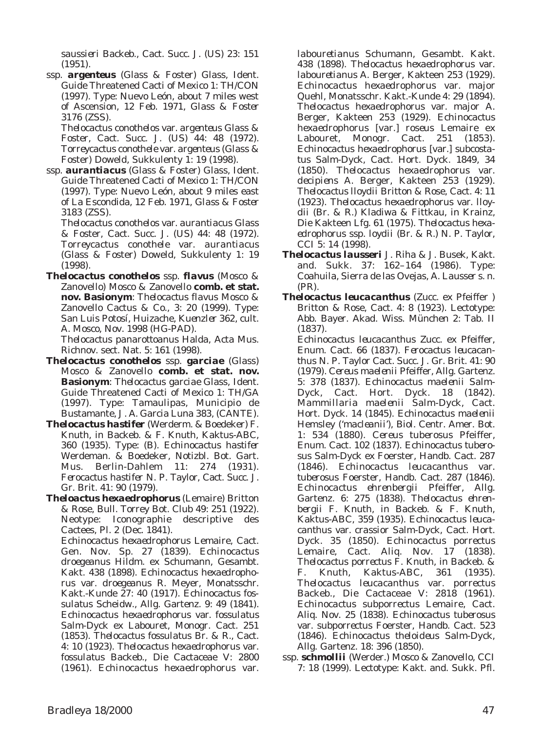*saussieri* Backeb., Cact. Succ. J. (US) 23: 151 (1951).

ssp. *argenteus* (Glass & Foster) Glass, Ident. Guide Threatened Cacti of Mexico 1: TH/CON (1997). Type: Nuevo León, about 7 miles west of Ascension, 12 Feb. 1971, *Glass & Foster* 3176 (ZSS).

*Thelocactus conothelos* var. *argenteus* Glass & Foster, Cact. Succ. J. (US) 44: 48 (1972). *Torreycactus conothele* var. *argenteus* (Glass & Foster) Doweld, Sukkulenty 1: 19 (1998).

ssp. *aurantiacus* (Glass & Foster) Glass, Ident. Guide Threatened Cacti of Mexico 1: TH/CON (1997). Type: Nuevo León, about 9 miles east of La Escondida, 12 Feb. 1971, *Glass & Foster* 3183 (ZSS).

*Thelocactus conothelos* var. *aurantiacus* Glass & Foster, Cact. Succ. J. (US) 44: 48 (1972). *Torreycactus conothele* var. *aurantiacus* (Glass & Foster) Doweld, Sukkulenty 1: 19 (1998).

*Thelocactus conothelos* ssp. *flavus* (Mosco & Zanovello) Mosco & Zanovello **comb. et stat. nov. Basionym**: *Thelocactus flavus* Mosco & Zanovello Cactus & Co., 3: 20 (1999). Type: San Luis Potosí, Huizache, *Kuenzler* 362, cult. A. Mosco, Nov. 1998 (HG-PAD).

*Thelocactus panarottoanus* Halda, Acta Mus. Richnov. sect. Nat. 5: 161 (1998).

- *Thelocactus conothelos* ssp. *garciae* (Glass) Mosco & Zanovello **comb. et stat. nov. Basionym**: *Thelocactus garciae* Glass, Ident. Guide Threatened Cacti of Mexico 1: TH/GA (1997). Type: Tamaulipas, Municipio de Bustamante, *J. A. Garcia Luna* 383, (CANTE).
- *Thelocactus hastifer* (Werderm. & Boedeker) F. Knuth, in Backeb. & F. Knuth, Kaktus-ABC, 360 (1935). Type: (B). *Echinocactus hastifer* Werdeman. & Boedeker, Notizbl. Bot. Gart. Mus. Berlin-Dahlem 11: 274 (1931). *Ferocactus hastifer* N. P. Taylor, Cact. Succ. J. Gr. Brit. 41: 90 (1979).

*Theloactus hexaedrophorus* (Lemaire) Britton & Rose, Bull. Torrey Bot. Club 49: 251 (1922). Neotype: Iconographie descriptive des Cactees, Pl. 2 (Dec. 1841). *Echinocactus hexaedrophorus* Lemaire, Cact. Gen. Nov. Sp. 27 (1839). *Echinocactus droegeanus* Hildm. ex Schumann, Gesambt. Kakt. 438 (1898). *Echinocactus hexaedrophorus* var. *droegeanus* R. Meyer, Monatsschr. Kakt.-Kunde 27: 40 (1917). *Echinocactus fossulatus* Scheidw., Allg. Gartenz. 9: 49 (1841). *Echinocactus hexaedrophorus* var. *fossulatus* Salm-Dyck ex Labouret, Monogr. Cact. 251 (1853). *Thelocactus fossulatus* Br. & R., Cact. 4: 10 (1923). *Thelocactus hexaedrophorus* var. *fossulatus* Backeb., Die Cactaceae V: 2800 (1961). *Echinocactus hexaedrophorus* var.

*labouretianus* Schumann, Gesambt. Kakt. 438 (1898). *Thelocactus hexaedrophorus* var. *labouretianus* A. Berger, Kakteen 253 (1929). *Echinocactus hexaedrophorus* var. *major* Quehl, Monatsschr. Kakt.-Kunde 4: 29 (1894). *Thelocactus hexaedrophorus* var. *major* A. Berger, Kakteen 253 (1929). *Echinocactus hexaedrophorus* [var.] *roseus* Lemaire ex Labouret, Monogr. Cact. 251 (1853). *Echinocactus hexaedrophorus* [var.] *subcostatus* Salm-Dyck, Cact. Hort. Dyck. 1849, 34 (1850). *Thelocactus hexaedrophorus* var. *decipiens* A. Berger, Kakteen 253 (1929). *Thelocactus lloydii* Britton & Rose, Cact. 4: 11 (1923). *Thelocactus hexaedrophorus* var. *lloydii* (Br. & R.) Kladiwa & Fittkau, in Krainz, Die Kakteen Lfg. 61 (1975). *Thelocactus hexaedrophorus* ssp. *loydii* (Br. & R.) N. P. Taylor, CCI 5: 14 (1998).

- *Thelocactus lausseri* J. Riha & J. Busek, Kakt. and. Sukk. 37: 162–164 (1986). Type: Coahuila, Sierra de las Ovejas, *A. Lausser* s. n. (PR).
- *Thelocactus leucacanthus* (Zucc. ex Pfeiffer ) Britton & Rose, Cact. 4: 8 (1923). Lectotype: Abb. Bayer. Akad. Wiss. München 2: Tab. II (1837).

*Echinocactus leucacanthus* Zucc. ex Pfeiffer, Enum. Cact. 66 (1837). *Ferocactus leucacanthus* N. P. Taylor Cact. Succ. J. Gr. Brit. 41: 90 (1979). *Cereus maelenii* Pfeiffer, Allg. Gartenz. 5: 378 (1837). *Echinocactus maelenii* Salm-Dyck, Cact. Hort. Dyck. 18 (1842). *Mammillaria maelenii* Salm-Dyck, Cact. Hort. Dyck. 14 (1845). *Echinocactus maelenii* Hemsley ('*macleanii*'), Biol. Centr. Amer. Bot. 1: 534 (1880). *Cereus tuberosus* Pfeiffer, Enum. Cact. 102 (1837). *Echinocactus tuberosus* Salm-Dyck ex Foerster, Handb. Cact. 287 (1846). *Echinocactus leucacanthus* var. *tuberosus* Foerster, Handb. Cact. 287 (1846). *Echinocactus ehrenbergii* Pfeiffer, Allg. Gartenz. 6: 275 (1838). *Thelocactus ehrenbergii* F. Knuth, in Backeb. & F. Knuth, Kaktus-ABC, 359 (1935). *Echinocactus leucacanthus* var. *crassior* Salm-Dyck, Cact. Hort. Dyck. 35 (1850). *Echinocactus porrectus* Lemaire, Cact. Aliq. Nov. 17 (1838). *Thelocactus porrectus* F. Knuth, in Backeb. & F. Knuth, Kaktus-ABC, 361 (1935). *Thelocactus leucacanthus* var. *porrectus* Backeb., Die Cactaceae V: 2818 (1961). *Echinocactus subporrectus* Lemaire, Cact. Aliq. Nov. 25 (1838). *Echinocactus tuberosus* var. *subporrectus* Foerster, Handb. Cact. 523 (1846). *Echinocactus theloideus* Salm-Dyck, Allg. Gartenz. 18: 396 (1850).

ssp. *schmollii* (Werder.) Mosco & Zanovello, CCI 7: 18 (1999). Lectotype: Kakt. and. Sukk. Pfl.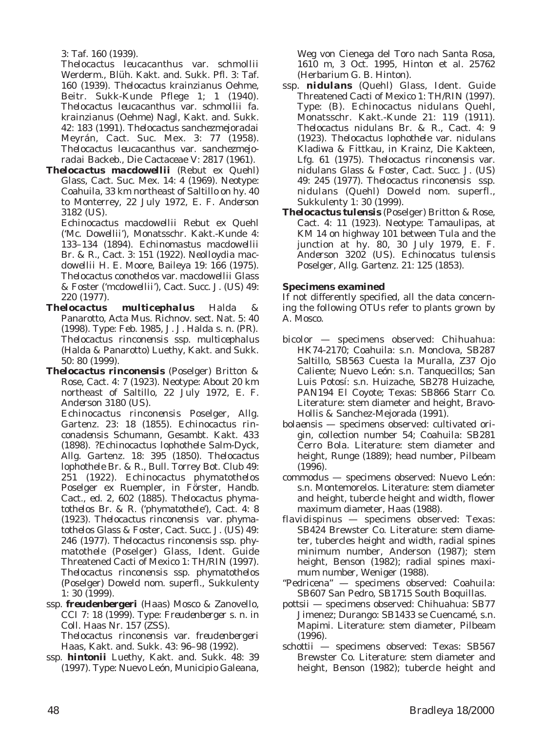3: Taf. 160 (1939).

*Thelocactus leucacanthus* var. *schmollii* Werderm., Blüh. Kakt. and. Sukk. Pfl. 3: Taf. 160 (1939). *Thelocactus krainzianus* Oehme, Beitr. Sukk-Kunde Pflege 1; 1 (1940). *Thelocactus leucacanthus* var. *schmollii* fa. *krainzianus* (Oehme) Nagl, Kakt. and. Sukk. 42: 183 (1991). *Thelocactus sanchezmejoradai* Meyrán, Cact. Suc. Mex. 3: 77 (1958). *Thelocactus leucacanthus* var. *sanchezmejoradai* Backeb., Die Cactaceae V: 2817 (1961).

*Thelocactus macdowellii* (Rebut ex Quehl) Glass, Cact. Suc. Mex. 14: 4 (1969). Neotype: Coahuila, 33 km northeast of Saltillo on hy. 40 to Monterrey, 22 July 1972, *E. F. Anderson* 3182 (US).

*Echinocactus macdowellii* Rebut ex Quehl ('*Mc. Dowellii*'), Monatsschr. Kakt.-Kunde 4: 133–134 (1894). *Echinomastus macdowellii* Br. & R., Cact. 3: 151 (1922). *Neolloydia macdowellii* H. E. Moore, Baileya 19: 166 (1975). *Thelocactus conothelos* var. *macdowellii* Glass & Foster ('*mcdowellii*'), Cact. Succ. J. (US) 49: 220 (1977).

- *Thelocactus multicephalus* Halda & Panarotto, Acta Mus. Richnov. sect. Nat. 5: 40 (1998). Type: Feb. 1985, *J. J. Halda* s. n. (PR). *Thelocactus rinconensis* ssp. *multicephalus* (Halda & Panarotto) Luethy, Kakt. and Sukk. 50: 80 (1999).
- *Thelocactus rinconensis* (Poselger) Britton & Rose, Cact. 4: 7 (1923). Neotype: About 20 km northeast of Saltillo, 22 July 1972, *E. F. Anderson* 3180 (US).

*Echinocactus rinconensis* Poselger, Allg. Gartenz. 23: 18 (1855). *Echinocactus rinconadensis* Schumann, Gesambt. Kakt. 433 (1898). ?*Echinocactus lophothele* Salm-Dyck, Allg. Gartenz. 18: 395 (1850). *Thelocactus lophothele* Br. & R., Bull. Torrey Bot. Club 49: 251 (1922). *Echinocactus phymatothelos* Poselger ex Ruempler, in Förster, Handb. Cact., ed. 2, 602 (1885). *Thelocactus phymatothelos* Br. & R. ('*phymatothele*'), Cact. 4: 8 (1923). *Thelocactus rinconensis* var. *phymatothelos* Glass & Foster, Cact. Succ. J. (US) 49: 246 (1977). *Thelocactus rinconensis* ssp. *phymatothele* (Poselger) Glass, Ident. Guide Threatened Cacti of Mexico 1: TH/RIN (1997). *Thelocactus rinconensis* ssp. *phymatothelos* (Poselger) Doweld nom. superfl., Sukkulenty 1: 30 (1999).

ssp. *freudenbergeri* (Haas) Mosco & Zanovello, CCI 7: 18 (1999). Type: *Freudenberger* s. n. in Coll. Haas Nr. 157 (ZSS).

*Thelocactus rinconensis* var. *freudenbergeri* Haas, Kakt. and. Sukk. 43: 96–98 (1992).

ssp. *hintonii* Luethy, Kakt. and. Sukk. 48: 39 (1997). Type: Nuevo León, Municipio Galeana,

Weg von Cienega del Toro nach Santa Rosa, 1610 m, 3 Oct. 1995, *Hinton* et al. 25762 (Herbarium G. B. Hinton).

- ssp. *nidulans* (Quehl) Glass, Ident. Guide Threatened Cacti of Mexico 1: TH/RIN (1997). Type: (B). *Echinocactus nidulans* Quehl, Monatsschr. Kakt.-Kunde 21: 119 (1911). *Thelocactus nidulans* Br. & R., Cact. 4: 9 (1923). *Thelocactus lophothele* var. *nidulans* Kladiwa & Fittkau, in Krainz, Die Kakteen, Lfg. 61 (1975). *Thelocactus rinconensis* var. *nidulans* Glass & Foster, Cact. Succ. J. (US) 49: 245 (1977). *Thelocactus rinconensis* ssp. *nidulans* (Quehl) Doweld nom. superfl., Sukkulenty 1: 30 (1999).
- *Thelocactus tulensis* (Poselger) Britton & Rose, Cact. 4: 11 (1923). Neotype: Tamaulipas, at KM 14 on highway 101 between Tula and the junction at hy. 80, 30 July 1979, *E. F. Anderson* 3202 (US). *Echinocatus tulensis* Poselger, Allg. Gartenz. 21: 125 (1853).

# **Specimens examined**

If not differently specified, all the data concerning the following OTUs refer to plants grown by A. Mosco.

- *bicolor* specimens observed: Chihuahua: HK74-2170; Coahuila: s.n. Monclova, SB287 Saltillo, SB563 Cuesta la Muralla, Z37 Ojo Caliente; Nuevo León: s.n. Tanquecillos; San Luis Potosí: s.n. Huizache, SB278 Huizache, PAN194 El Coyote; Texas: SB866 Starr Co. Literature: stem diameter and height, Bravo-Hollis & Sanchez-Mejorada (1991).
- *bolaensis* specimens observed: cultivated origin, collection number 54; Coahuila: SB281 Cerro Bola. Literature: stem diameter and height, Runge (1889); head number, Pilbeam (1996).
- *commodus* specimens observed: Nuevo León: s.n. Montemorelos. Literature: stem diameter and height, tubercle height and width, flower maximum diameter, Haas (1988).
- *flavidispinus* specimens observed: Texas: SB424 Brewster Co. Literature: stem diameter, tubercles height and width, radial spines minimum number, Anderson (1987); stem height, Benson (1982); radial spines maximum number, Weniger (1988).
- "Pedricena" specimens observed: Coahuila: SB607 San Pedro, SB1715 South Boquillas.
- *pottsii* specimens observed: Chihuahua: SB77 Jimenez; Durango: SB1433 se Cuencamé, s.n. Mapimi. Literature: stem diameter, Pilbeam (1996).
- *schottii* specimens observed: Texas: SB567 Brewster Co. Literature: stem diameter and height, Benson (1982); tubercle height and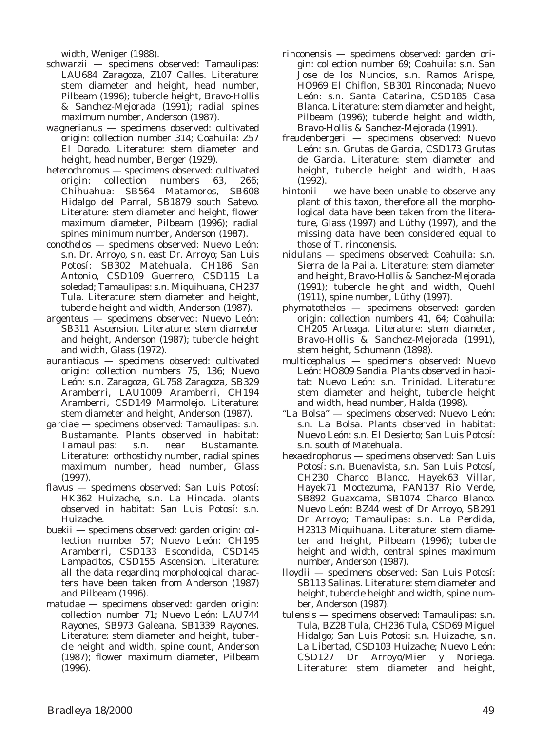width, Weniger (1988).

- *schwarzii* specimens observed: Tamaulipas: LAU684 Zaragoza, Z107 Calles. Literature: stem diameter and height, head number, Pilbeam (1996); tubercle height, Bravo-Hollis & Sanchez-Mejorada (1991); radial spines maximum number, Anderson (1987).
- *wagnerianus* specimens observed: cultivated origin: collection number 314; Coahuila: Z57 El Dorado. Literature: stem diameter and height, head number, Berger (1929).
- *heterochromus* specimens observed: cultivated origin: collection numbers 63, 266; Chihuahua: SB564 Matamoros, SB608 Hidalgo del Parral, SB1879 south Satevo. Literature: stem diameter and height, flower maximum diameter, Pilbeam (1996); radial spines minimum number, Anderson (1987).
- *conothelos* specimens observed: Nuevo León: s.n. Dr. Arroyo, s.n. east Dr. Arroyo; San Luis Potosí: SB302 Matehuala, CH186 San Antonio, CSD109 Guerrero, CSD115 La soledad; Tamaulipas: s.n. Miquihuana, CH237 Tula. Literature: stem diameter and height, tubercle height and width, Anderson (1987).
- *argenteus* specimens observed: Nuevo León: SB311 Ascension. Literature: stem diameter and height, Anderson (1987); tubercle height and width, Glass (1972).
- *aurantiacus* specimens observed: cultivated origin: collection numbers 75, 136; Nuevo León: s.n. Zaragoza, GL758 Zaragoza, SB329 Aramberri, LAU1009 Aramberri, CH194 Aramberri, CSD149 Marmolejo. Literature: stem diameter and height, Anderson (1987).
- *garciae* specimens observed: Tamaulipas: s.n. Bustamante. Plants observed in habitat: Tamaulipas: s.n. near Bustamante. Literature: orthostichy number, radial spines maximum number, head number, Glass (1997).
- *flavus* specimens observed: San Luis Potosí: HK362 Huizache, s.n. La Hincada. plants observed in habitat: San Luis Potosí: s.n. Huizache.
- *buekii* specimens observed: garden origin: collection number 57; Nuevo León: CH195 Aramberri, CSD133 Escondida, CSD145 Lampacitos, CSD155 Ascension. Literature: all the data regarding morphological characters have been taken from Anderson (1987) and Pilbeam (1996).
- *matudae* specimens observed: garden origin: collection number 71; Nuevo León: LAU744 Rayones, SB973 Galeana, SB1339 Rayones. Literature: stem diameter and height, tubercle height and width, spine count, Anderson (1987); flower maximum diameter, Pilbeam (1996).
- *rinconensis* specimens observed: garden origin: collection number 69; Coahuila: s.n. San Jose de los Nuncios, s.n. Ramos Arispe, HO969 El Chiflon, SB301 Rinconada; Nuevo León: s.n. Santa Catarina, CSD185 Casa Blanca. Literature: stem diameter and height, Pilbeam (1996); tubercle height and width, Bravo-Hollis & Sanchez-Mejorada (1991).
- *freudenbergeri* specimens observed: Nuevo León: s.n. Grutas de Garcia, CSD173 Grutas de Garcia. Literature: stem diameter and height, tubercle height and width, Haas (1992).
- *hintonii* we have been unable to observe any plant of this taxon, therefore all the morphological data have been taken from the literature, Glass (1997) and Lüthy (1997), and the missing data have been considered equal to those of *T*. *rinconensis*.
- *nidulans* specimens observed: Coahuila: s.n. Sierra de la Paila. Literature: stem diameter and height, Bravo-Hollis & Sanchez-Mejorada (1991); tubercle height and width, Quehl (1911), spine number, Lüthy (1997).
- *phymatothelos* specimens observed: garden origin: collection numbers 41, 64; Coahuila: CH205 Arteaga. Literature: stem diameter, Bravo-Hollis & Sanchez-Mejorada (1991), stem height, Schumann (1898).
- *multicephalus* specimens observed: Nuevo León: HO809 Sandia. Plants observed in habitat: Nuevo León: s.n. Trinidad. Literature: stem diameter and height, tubercle height and width, head number, Halda (1998).
- "La Bolsa" specimens observed: Nuevo León: s.n. La Bolsa. Plants observed in habitat: Nuevo León: s.n. El Desierto; San Luis Potosí: s.n. south of Matehuala.
- *hexaedrophorus* specimens observed: San Luis Potosí: s.n. Buenavista, s.n. San Luis Potosí, CH230 Charco Blanco, Hayek63 Villar, Hayek71 Moctezuma, PAN137 Rio Verde, SB892 Guaxcama, SB1074 Charco Blanco. Nuevo León: BZ44 west of Dr Arroyo, SB291 Dr Arroyo; Tamaulipas: s.n. La Perdida, H2313 Miquihuana. Literature: stem diameter and height, Pilbeam (1996); tubercle height and width, central spines maximum number, Anderson (1987).
- *lloydii* specimens observed: San Luis Potosí: SB113 Salinas. Literature: stem diameter and height, tubercle height and width, spine number, Anderson (1987).
- *tulensis* specimens observed: Tamaulipas: s.n. Tula, BZ28 Tula, CH236 Tula, CSD69 Miguel Hidalgo; San Luis Potosí: s.n. Huizache, s.n. La Libertad, CSD103 Huizache; Nuevo León: CSD127 Dr Arroyo/Mier y Noriega. Literature: stem diameter and height,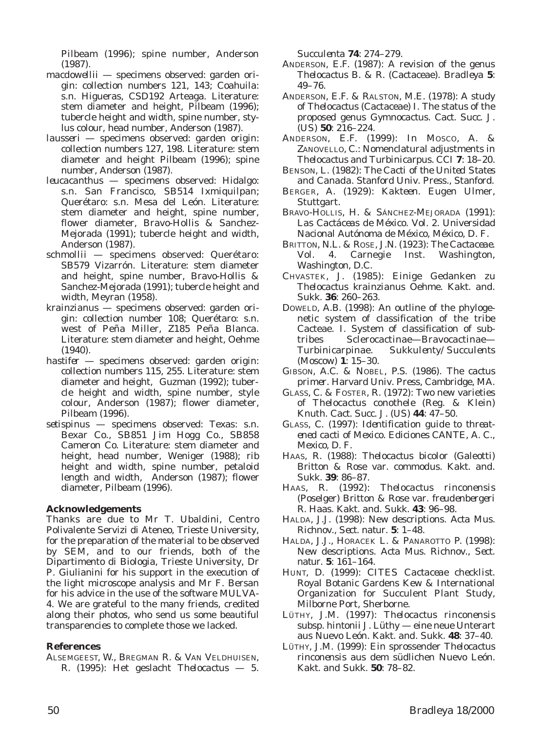Pilbeam (1996); spine number, Anderson (1987).

- *macdowellii* specimens observed: garden origin: collection numbers 121, 143; Coahuila: s.n. Higueras, CSD192 Arteaga. Literature: stem diameter and height, Pilbeam (1996); tubercle height and width, spine number, stylus colour, head number, Anderson (1987).
- *lausseri* specimens observed: garden origin: collection numbers 127, 198. Literature: stem diameter and height Pilbeam (1996); spine number, Anderson (1987).
- *leucacanthus* specimens observed: Hidalgo: s.n. San Francisco, SB514 Ixmiquilpan; Querétaro: s.n. Mesa del León. Literature: stem diameter and height, spine number, flower diameter, Bravo-Hollis & Sanchez-Mejorada (1991); tubercle height and width, Anderson (1987).
- *schmollii* specimens observed: Querétaro: SB579 Vizarrón. Literature: stem diameter and height, spine number, Bravo-Hollis & Sanchez-Mejorada (1991); tubercle height and width, Meyran (1958).
- *krainzianus* specimens observed: garden origin: collection number 108; Querétaro: s.n. west of Peña Miller, Z185 Peña Blanca. Literature: stem diameter and height, Oehme (1940).
- *hastifer* specimens observed: garden origin: collection numbers 115, 255. Literature: stem diameter and height, Guzman (1992); tubercle height and width, spine number, style colour, Anderson (1987); flower diameter, Pilbeam (1996).
- *setispinus* specimens observed: Texas: s.n. Bexar Co., SB851 Jim Hogg Co., SB858 Cameron Co. Literature: stem diameter and height, head number, Weniger (1988); rib height and width, spine number, petaloid length and width, Anderson (1987); flower diameter, Pilbeam (1996).

## **Acknowledgements**

Thanks are due to Mr T. Ubaldini, Centro Polivalente Servizi di Ateneo, Trieste University, for the preparation of the material to be observed by SEM, and to our friends, both of the Dipartimento di Biologia, Trieste University, Dr P. Giulianini for his support in the execution of the light microscope analysis and Mr F. Bersan for his advice in the use of the software MULVA-4. We are grateful to the many friends, credited along their photos, who send us some beautiful transparencies to complete those we lacked.

### **References**

ALSEMGEEST, W., BREGMAN R. & VAN VELDHUISEN, R. (1995): Het geslacht *Thelocactus* — 5. *Succulenta* **74**: 274–279.

- ANDERSON, E.F. (1987): A revision of the genus *Thelocactus* B. & R. (Cactaceae). *Bradleya* **5**: 49–76.
- ANDERSON, E.F. & RALSTON, M.E. (1978): A study of *Thelocactus* (Cactaceae) I. The status of the proposed genus *Gymnocactus*. *Cact. Succ. J. (US)* **50**: 216–224.
- ANDERSON, E.F. (1999): In MOSCO, A. & ZANOVELLO, C.: Nomenclatural adjustments in *Thelocactus* and *Turbinicarpus*. *CCI* **7**: 18–20.
- BENSON, L. (1982): *The Cacti of the United States and Canada*. Stanford Univ. Press., Stanford.
- BERGER, A. (1929): *Kakteen*. Eugen Ulmer, Stuttgart.
- BRAVO-HOLLIS, H. & SÁNCHEZ-MEJORADA (1991): *Las Cactáceas de México*. Vol. 2. Universidad Nacional Autónoma de México, México, D. F.
- BRITTON, N.L. & ROSE, J.N. (1923): *The Cactaceae*. Vol. 4. Carnegie Inst. Washington, Washington, D.C.
- CHVASTEK, J. (1985): Einige Gedanken zu *Thelocactus krainzianus* Oehme. *Kakt. and. Sukk.* **36**: 260–263.
- DOWELD, A.B. (1998): An outline of the phylogenetic system of classification of the tribe Cacteae. I. System of classification of subtribes Sclerocactinae—Bravocactinae— Turbinicarpinae. *Sukkulenty/Succulents (Moscow)* **1**: 15–30.
- GIBSON, A.C. & NOBEL, P.S. (1986). *The cactus primer*. Harvard Univ. Press, Cambridge, MA.
- GLASS, C. & FOSTER, R. (1972): Two new varieties of *Thelocactus conothele* (Reg. & Klein) Knuth. *Cact. Succ. J. (US)* **44**: 47–50.
- GLASS, C. (1997): *Identification guide to threatened cacti of Mexico*. Ediciones CANTE, A. C., Mexico, D. F.
- HAAS, R. (1988): *Thelocactus bicolor* (Galeotti) Britton & Rose var. *commodus*. *Kakt. and. Sukk.* **39**: 86–87.
- HAAS, R. (1992): *Thelocactus rinconensis* (Poselger) Britton & Rose var. *freudenbergeri* R. Haas. *Kakt. and. Sukk.* **43**: 96–98.
- HALDA, J.J. (1998): New descriptions. *Acta Mus. Richnov., Sect. natur.* **5**: 1–48.
- HALDA, J.J., HORACEK L. & PANAROTTO P. (1998): New descriptions. *Acta Mus. Richnov., Sect. natur.* **5**: 161–164.
- HUNT, D. (1999): *CITES Cactaceae checklist*. Royal Botanic Gardens Kew & International Organization for Succulent Plant Study, Milborne Port, Sherborne.
- LÜTHY, J.M. (1997): *Thelocactus rinconensis* subsp. *hintonii* J. Lüthy — eine neue Unterart aus Nuevo León. *Kakt. and. Sukk.* **48**: 37–40.
- LÜTHY, J.M. (1999): Ein sprossender *Thelocactus rinconensis* aus dem südlichen Nuevo León. *Kakt. and Sukk.* **50**: 78–82.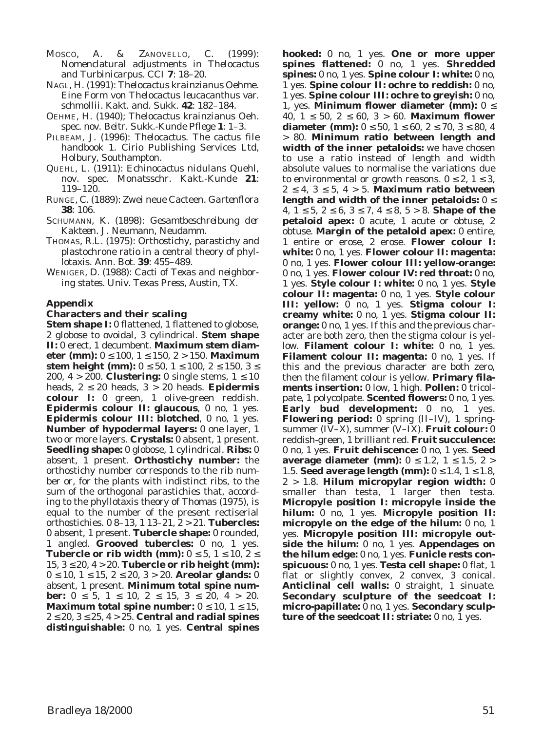MOSCO, A. & ZANOVELLO, C. (1999): Nomenclatural adjustments in *Thelocactus* and *Turbinicarpus*. *CCI* **7**: 18–20.

- NAGL, H. (1991): *Thelocactus krainzianus* Oehme. Eine Form von *Thelocactus leucacanthus* var. *schmollii*. *Kakt. and. Sukk.* **42**: 182–184.
- OEHME, H. (1940); *Thelocactus krainzianus* Oeh. spec. nov. *Beitr. Sukk.-Kunde Pflege* **1**: 1–3.
- PILBEAM, J. (1996): *Thelocactus*. *The cactus file handbook* 1. Cirio Publishing Services Ltd, Holbury, Southampton.
- QUEHL, L. (1911): *Echinocactus nidulans* Quehl, nov. spec. *Monatsschr. Kakt.-Kunde* **21**: 119–120.
- RUNGE, C. (1889): Zwei neue Cacteen. *Gartenflora* **38**: 106.
- SCHUMANN, K. (1898): *Gesamtbeschreibung der Kakteen*. J. Neumann, Neudamm.
- THOMAS, R.L. (1975): Orthostichy, parastichy and plastochrone ratio in a central theory of phyllotaxis. *Ann*. *Bot*. **39**: 455–489.
- WENIGER, D. (1988): *Cacti of Texas and neighboring states*. Univ. Texas Press, Austin, TX.

### **Appendix**

#### **Characters and their scaling**

**Stem shape I:** 0 flattened, 1 flattened to globose, 2 globose to ovoidal, 3 cylindrical. **Stem shape II:** 0 erect, 1 decumbent. **Maximum stem diameter (mm):** 0 ≤ 100, 1 ≤ 150, 2 > 150. **Maximum stem height (mm):**  $0 \le 50$ ,  $1 \le 100$ ,  $2 \le 150$ ,  $3 \le$ 200,  $4 > 200$ . **Clustering:** 0 single stems,  $1 \le 10$ heads, 2 ≤ 20 heads, 3 > 20 heads. **Epidermis colour I:** 0 green, 1 olive-green reddish. **Epidermis colour II: glaucous**, 0 no, 1 yes. **Epidermis colour III: blotched**, 0 no, 1 yes. **Number of hypodermal layers:** 0 one layer, 1 two or more layers. **Crystals:** 0 absent, 1 present. **Seedling shape:** 0 globose, 1 cylindrical. **Ribs:** 0 absent, 1 present. **Orthostichy number:** the orthostichy number corresponds to the rib number or, for the plants with indistinct ribs, to the sum of the orthogonal parastichies that, according to the phyllotaxis theory of Thomas (1975), is equal to the number of the present rectiserial orthostichies. 0 8–13, 1 13–21, 2 > 21. **Tubercles:** 0 absent, 1 present. **Tubercle shape:** 0 rounded, 1 angled. **Grooved tubercles:** 0 no, 1 yes. **Tubercle or rib width (mm):**  $0 \le 5$ ,  $1 \le 10$ ,  $2 \le$ 15, 3 ≤ 20, 4 > 20. **Tubercle or rib height (mm):** 0 ≤ 10, 1 ≤ 15, 2 ≤ 20, 3 > 20. **Areolar glands:** 0 absent, 1 present. **Minimum total spine number:**  $0 \le 5$ ,  $1 \le 10$ ,  $2 \le 15$ ,  $3 \le 20$ ,  $4 > 20$ . **Maximum total spine number:**  $0 \le 10$ ,  $1 \le 15$ , 2 ≤ 20, 3 ≤ 25, 4 > 25. **Central and radial spines distinguishable:** 0 no, 1 yes. **Central spines**

**hooked:** 0 no, 1 yes. **One or more upper spines flattened:** 0 no, 1 yes. **Shredded spines:** 0 no, 1 yes. **Spine colour I: white:** 0 no, 1 yes. **Spine colour II: ochre to reddish:** 0 no, 1 yes. **Spine colour III: ochre to greyish:** 0 no, 1, yes. **Minimum flower diameter (mm):** 0 ≤ 40, 1 ≤ 50, 2 ≤ 60, 3 > 60. **Maximum flower diameter (mm):**  $0 \le 50$ ,  $1 \le 60$ ,  $2 \le 70$ ,  $3 \le 80$ , 4 > 80. **Minimum ratio between length and width of the inner petaloids:** we have chosen to use a ratio instead of length and width absolute values to normalise the variations due to environmental or growth reasons.  $0 \le 2$ ,  $1 \le 3$ ,  $2 \leq 4$ ,  $3 \leq 5$ ,  $4 > 5$ . **Maximum ratio between length and width of the inner petaloids:** 0 ≤ 4, 1 ≤ 5, 2 ≤ 6, 3 ≤ 7, 4 ≤ 8, 5 > 8. **Shape of the petaloid apex:** 0 acute, 1 acute or obtuse, 2 obtuse. **Margin of the petaloid apex:** 0 entire, 1 entire or erose, 2 erose. **Flower colour I: white:** 0 no, 1 yes. **Flower colour II: magenta:** 0 no, 1 yes. **Flower colour III: yellow-orange:** 0 no, 1 yes. **Flower colour IV: red throat:** 0 no, 1 yes. **Style colour I: white:** 0 no, 1 yes. **Style colour II: magenta:** 0 no, 1 yes. **Style colour III: yellow:** 0 no, 1 yes. **Stigma colour I: creamy white:** 0 no, 1 yes. **Stigma colour II: orange:** 0 no, 1 yes. If this and the previous character are both zero, then the stigma colour is yellow. **Filament colour I: white:** 0 no, 1 yes. **Filament colour II: magenta:** 0 no, 1 yes. If this and the previous character are both zero, then the filament colour is yellow. **Primary filaments insertion:** 0 low, 1 high. **Pollen:** 0 tricolpate, 1 polycolpate. **Scented flowers:** 0 no, 1 yes. **Early bud development:** 0 no, 1 yes. **Flowering period:** 0 spring (II–IV), 1 springsummer (IV–X), summer (V–IX). **Fruit colour:** 0 reddish-green, 1 brilliant red. **Fruit succulence:** 0 no, 1 yes. **Fruit dehiscence:** 0 no, 1 yes. **Seed average diameter (mm):**  $0 \le 1.2$ ,  $1 \le 1.5$ ,  $2 >$ 1.5. **Seed average length (mm):**  $0 \le 1.4$ ,  $1 \le 1.8$ , 2 > 1.8. **Hilum micropylar region width:** 0 smaller than testa, 1 larger then testa. **Micropyle position I: micropyle inside the hilum:** 0 no, 1 yes. **Micropyle position II: micropyle on the edge of the hilum:** 0 no, 1 yes. **Micropyle position III: micropyle outside the hilum:** 0 no, 1 yes. **Appendages on the hilum edge:** 0 no, 1 yes. **Funicle rests conspicuous:** 0 no, 1 yes. **Testa cell shape:** 0 flat, 1 flat or slightly convex, 2 convex, 3 conical. **Anticlinal cell walls:** 0 straight, 1 sinuate. **Secondary sculpture of the seedcoat I: micro-papillate:** 0 no, 1 yes. **Secondary sculpture of the seedcoat II: striate:** 0 no, 1 yes.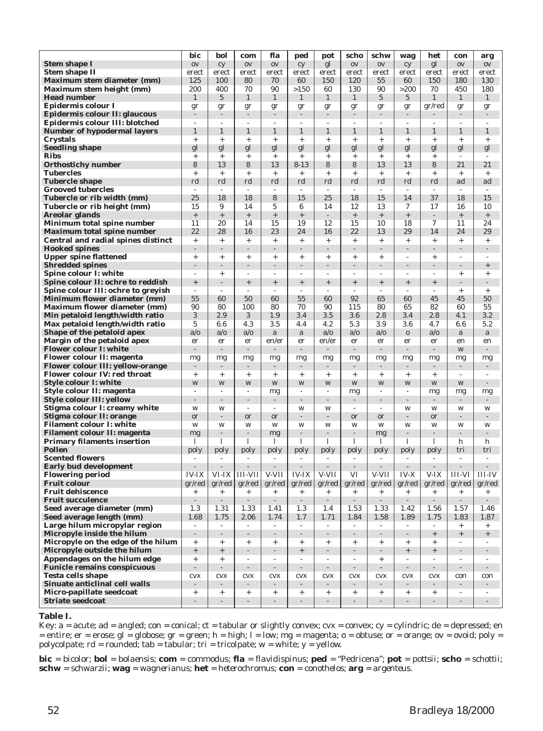|                                                                        | bic                              | bol                      | com                      | fla                      | ped                      | pot                          | scho                     | schw                     | wag                      | het                      | con                      | arg                      |
|------------------------------------------------------------------------|----------------------------------|--------------------------|--------------------------|--------------------------|--------------------------|------------------------------|--------------------------|--------------------------|--------------------------|--------------------------|--------------------------|--------------------------|
| <b>Stem shape I</b>                                                    | $\mathbf{O}\mathbf{V}$           | cy                       | 0V                       | 0V                       | cy                       | gl                           | 0V                       | 0V                       | cy                       | gl                       | 0V                       | $\rm OV$                 |
| <b>Stem shape II</b>                                                   | erect                            | erect                    | erect                    | erect                    | erect                    | erect                        | erect                    | erect                    | erect                    | erect                    | erect                    | erect                    |
| <b>Maximum stem diameter (mm)</b>                                      | 125                              | <b>100</b>               | 80                       | 70                       | 60                       | 150                          | 120                      | 55                       | 60                       | 150                      | 180                      | 130                      |
| Maximum stem height (mm)                                               | 200                              | 400                      | 70                       | 90                       | >150                     | 60                           | 130                      | 90                       | >200                     | 70                       | 450                      | 180                      |
| <b>Head number</b>                                                     | $\mathbf{1}$                     | $\overline{5}$           | $\mathbf{1}$             | $\mathbf{1}$             | 1                        | $\mathbf{1}$                 | $\mathbf{1}$             | $\overline{5}$           | $\overline{5}$           | 1                        | $\mathbf{1}$             | $\mathbf{1}$             |
| Epidermis colour I                                                     | gr                               | gr                       | gr                       | gr                       | gr                       | gr                           | gr                       | gr                       | gr                       | gr/red                   | gr                       | gr                       |
| Epidermis colour II: glaucous                                          |                                  |                          |                          |                          |                          |                              |                          |                          |                          |                          | $\overline{a}$           | $\overline{\phantom{a}}$ |
| Epidermis colour III: blotched                                         | ÷                                | $\overline{a}$           | $\overline{a}$           |                          | ÷                        | ÷,                           |                          |                          |                          |                          | $\overline{\phantom{a}}$ | $\overline{a}$           |
| <b>Number of hypodermal layers</b>                                     | $\mathbf{1}$                     | 1                        | $\mathbf{1}$             | 1                        | 1                        | $\mathbf{1}$                 | $\mathbf{1}$             | $\mathbf{1}$             | $\mathbf{1}$             | 1                        | $\mathbf{1}$             | $\mathbf{1}$             |
| <b>Crystals</b>                                                        | $+$                              | $^{+}$                   | $^{+}$                   | $^{+}$                   | $^{+}$                   | $^{+}$                       | $^{+}$                   | $\ddot{}$                | $^{+}$                   | $\ddot{}$                | $\ddot{}$                | $+$                      |
| <b>Seedling shape</b>                                                  | gl                               | gl                       | gl                       | gl                       | gl                       | gl                           | gl                       | gl                       | gl                       | gl                       | gl                       | gl                       |
| <b>Ribs</b>                                                            | $^{+}$                           | $^{+}$                   | $^{+}$                   | $^{+}$                   | $^{+}$                   | $^{+}$                       | $^{+}$                   | $^{+}$                   | $^{+}$                   | $\ddot{}$                | $\sim$                   |                          |
| <b>Orthostichy number</b>                                              | 8                                | 13                       | 8                        | 13                       | $8 - 13$                 | 8                            | 8                        | 13                       | 13                       | 8                        | 21                       | 21                       |
| <b>Tubercles</b><br><b>Tubercle shape</b>                              | $^{+}$<br>rd                     | $^{+}$<br>rd             | $^{+}$<br>rd             | $\ddot{}$<br>rd          | $^{+}$<br>rd             | $\ddot{}$<br>rd              | $^{+}$<br>rd             | $\ddot{}$<br>rd          | $^{+}$<br>rd             | $\ddot{}$<br>rd          | $\! + \!\!\!\!$<br>ad    | $^{+}$<br>ad             |
| <b>Grooved tubercles</b>                                               | $\overline{\phantom{a}}$         | $\overline{a}$           | $\sim$                   | ÷                        | $\overline{a}$           | $\overline{\phantom{a}}$     | $\sim$                   | $\sim$                   | $\sim$                   |                          | $\overline{\phantom{a}}$ | $\overline{\phantom{a}}$ |
| Tubercle or rib width (mm)                                             | 25                               | 18                       | 18                       | 8                        | 15                       | 25                           | 18                       | 15                       | 14                       | 37                       | 18                       | 15                       |
| Tubercle or rib height (mm)                                            | 15                               | 9                        | 14                       | 5                        | 6                        | 14                           | 12                       | 13                       | 7                        | 17                       | 16                       | 10                       |
| <b>Areolar glands</b>                                                  | $\! + \!\!\!\!$                  | $^+$                     |                          | $\qquad \qquad +$        | $\! + \!$                |                              | $\! + \!\!\!\!$          |                          | $^{+}$                   |                          | $\qquad \qquad +$        | $^+$                     |
| Minimum total spine number                                             | 11                               | 20                       | 14                       | 15                       | 19                       | 12                           | 15                       | 10                       | 18                       | 7                        | 11                       | 24                       |
| <b>Maximum total spine number</b>                                      | 22                               | 28                       | 16                       | 23                       | 24                       | 16                           | 22                       | 13                       | 29                       | 14                       | 24                       | 29                       |
| Central and radial spines distinct                                     | $+$                              | $+$                      | $+$                      | $\! + \!\!\!\!$          | $\! + \!\!\!\!$          | $+$                          | $+$                      | $^{+}$                   | $+$                      | $^{+}$                   | $\! + \!\!\!\!$          | $+$                      |
| <b>Hooked spines</b>                                                   | $\overline{a}$                   | $\overline{a}$           | $\overline{\phantom{a}}$ | L,                       | $\overline{a}$           | $\overline{a}$               | $\overline{a}$           | $\overline{a}$           | $\overline{a}$           |                          | $\overline{\phantom{a}}$ | $\overline{a}$           |
| <b>Upper spine flattened</b>                                           | $\! + \!\!\!$                    | $^{+}$                   | $^{+}$                   | $\ddot{}$                | $+$                      | $^{+}$                       | $^{+}$                   | $+$                      | $\overline{a}$           | $\ddot{}$                | $\overline{\phantom{a}}$ | $\overline{a}$           |
| <b>Shredded spines</b>                                                 | L,                               |                          | $\overline{a}$           | $\overline{a}$           |                          |                              | L,                       |                          | L,                       |                          |                          | $\qquad \qquad +$        |
| Spine colour I: white                                                  | ٠                                | $^{+}$                   | $\overline{\phantom{a}}$ | $\overline{a}$           | $\overline{\phantom{a}}$ | $\overline{a}$               | $\sim$                   | $\sim$                   | ÷                        | $\overline{\phantom{a}}$ | $\ddot{}$                | $^{+}$                   |
| Spine colour II: ochre to reddish                                      | $^+$                             |                          | $\qquad \qquad +$        |                          |                          | $\qquad \qquad +$            | $\qquad \qquad +$        | $\! + \!\!\!\!$          | $\! + \!\!\!\!$          | $^{+}$                   | ÷                        | $\overline{a}$           |
| Spine colour III: ochre to greyish                                     | $\overline{\phantom{a}}$         | $\overline{\phantom{a}}$ | ÷                        |                          | ٠                        | ÷,                           | $\overline{\phantom{a}}$ | $\overline{\phantom{a}}$ | ÷,                       |                          | $\ddot{}$                | $+$                      |
| <b>Minimum flower diameter (mm)</b>                                    | 55<br>90                         | 60<br>80                 | 50<br>100                | 60<br>80                 | 55<br>70                 | 60<br>90                     | 92<br>115                | 65<br>80                 | 60<br>65                 | 45<br>82                 | 45<br>60                 | 50<br>55                 |
| <b>Maximum flower diameter (mm)</b><br>Min petaloid length/width ratio | 3                                | 2.9                      | 3                        | 1.9                      | 3.4                      | $3.5\,$                      | 3.6                      | 2.8                      | 3.4                      | 2.8                      | 4.1                      | 3.2                      |
| Max petaloid length/width ratio                                        | $\overline{5}$                   | 6.6                      | 4.3                      | 3.5                      | 4.4                      | 4.2                          | 5.3                      | 3.9                      | 3.6                      | 4.7                      | 6.6                      | 5.2                      |
| Shape of the petaloid apex                                             | a/o                              | a/o                      | a/o                      | a                        | a                        | a/o                          | a/o                      | a/o                      | $\bf{0}$                 | a/o                      | a                        | a                        |
| Margin of the petaloid apex                                            | er                               | er                       | er                       | en/er                    | er                       | en/er                        | er                       | er                       | er                       | er                       | en                       | en                       |
| <b>Flower colour I: white</b>                                          |                                  |                          |                          |                          |                          |                              | $\sim$                   | $\overline{a}$           |                          |                          | W                        |                          |
| Flower colour II: magenta                                              | mg                               | mg                       | mg                       | mg                       | mg                       | mg                           | mg                       | mg                       | mg                       | mg                       | mg                       | mg                       |
| <b>Flower colour III: yellow-orange</b>                                |                                  |                          |                          |                          |                          |                              |                          |                          |                          |                          |                          |                          |
| <b>Flower colour IV: red throat</b>                                    | $^{+}$                           | $^{+}$                   | $^{+}$                   | $\ddot{}$                | $\ddot{}$                | $\ddot{}$                    | $\ddot{}$                | $\ddot{}$                | $\ddot{}$                | $\ddot{}$                |                          |                          |
| Style colour I: white                                                  | W                                | W                        | W                        | W                        | W                        | W                            | W                        | W                        | W                        | W                        | W                        | $\overline{\phantom{m}}$ |
| Style colour II: magenta                                               | ÷                                |                          | ÷                        | mg                       | ÷                        | $\overline{a}$               | mg                       | $\overline{a}$           |                          | mg                       | mg                       | mg                       |
| <b>Style colour III: yellow</b>                                        | $\overline{a}$                   |                          |                          |                          |                          |                              |                          |                          |                          |                          |                          |                          |
| Stigma colour I: creamy white                                          | W                                | W                        | ٠                        | $\sim$                   | W                        | W                            | $\sim$                   | $\sim$                   | W                        | W                        | W                        | W                        |
| Stigma colour II: orange<br><b>Filament colour I: white</b>            | <sub>or</sub>                    |                          | or                       | <sub>or</sub>            | $\overline{\phantom{0}}$ |                              | <sub>or</sub>            | or                       |                          | or<br>W                  |                          |                          |
| <b>Filament colour II: magenta</b>                                     | W<br>mg                          | W<br>$\overline{a}$      | W<br>L,                  | W<br>mg                  | W                        | W                            | W<br>L,                  | W<br>mg                  | W                        |                          | W<br>L,                  | W<br>$\overline{a}$      |
| <b>Primary filaments insertion</b>                                     | 1                                | 1                        | 1                        | 1                        | 1                        | 1                            | 1                        | 1                        | 1                        | 1                        | h                        | h                        |
| <b>Pollen</b>                                                          | poly                             | poly                     | poly                     | poly                     | poly                     | poly                         | poly                     | poly                     | poly                     | poly                     | tri                      | tri                      |
| <b>Scented flowers</b>                                                 | ÷                                | $\sim$                   | $\overline{\phantom{a}}$ | $\overline{\phantom{a}}$ | $\overline{\phantom{a}}$ | $\sim$                       | $\sim$                   | $\sim$                   | $\overline{\phantom{a}}$ | $\overline{\phantom{a}}$ | $\sim$                   | ٠                        |
| <b>Early bud development</b>                                           |                                  |                          |                          |                          |                          |                              | $\overline{\phantom{a}}$ |                          |                          |                          | L,                       |                          |
| <b>Flowering period</b>                                                | <b>IV-IX</b>                     | VI-IX                    | <b>III-VII</b>           | V-VII                    | <b>IV-IX</b>             | V-VII                        | VI                       | V-VII                    | <b>IV-X</b>              | V-IX                     | <b>III-VI</b>            | <b>III-IV</b>            |
| <b>Fruit colour</b>                                                    | gr/red                           | gr/red                   | gr/red                   | gr/red                   | gr/red                   | gr/red                       | gr/red                   | gr/red                   | gr/red                   | gr/red                   | gr/red                   | gr/red                   |
| <b>Fruit dehiscence</b>                                                | $\! + \!\!\!$                    | $\! + \!\!\!$            | $\! + \!\!\!$            | $\! + \!\!\!\!$          | $+$                      | $^{+}$                       | $+$                      | $\! + \!\!\!\!$          | $\! + \!\!\!\!$          | $^{+}$                   | $^{+}$                   | $\! + \!\!\!\!$          |
| <b>Fruit succulence</b>                                                | $\frac{1}{2}$                    | $\overline{a}$           | $\sim$                   | $\overline{\phantom{a}}$ | $\overline{a}$           | $\overline{a}$               | $\mathcal{L}$            | $\overline{a}$           | L.                       | $\sim$                   | $\overline{a}$           | $\overline{a}$           |
| Seed average diameter (mm)                                             | 1.3                              | 1.31                     | 1.33                     | 1.41                     | 1.3                      | 1.4                          | 1.53                     | 1.33                     | 1.42                     | 1.56                     | 1.57                     | 1.46                     |
| Seed average length (mm)                                               | 1.68                             | 1.75                     | 2.06                     | 1.74                     | 1.7                      | 1.71                         | 1.84                     | 1.58                     | 1.89                     | 1.75                     | 1.83                     | 1.87                     |
| Large hilum micropylar region<br>Micropyle inside the hilum            | $\overline{a}$<br>$\overline{a}$ | $\overline{\phantom{a}}$ | $\overline{a}$           | $\overline{a}$           | $\overline{a}$           | $\overline{\phantom{a}}$     | $\overline{\phantom{a}}$ | ÷,                       | $\overline{a}$           | $^{+}$                   | $^{+}$                   | $^{+}$                   |
| Micropyle on the edge of the hilum                                     | $+$                              | $^{+}$                   | $^{+}$                   | $+$                      | $+$                      | $+$                          | $^{+}$                   | $^{+}$                   | $+$                      | $+$                      | $+$<br>$\sim$            | $\qquad \qquad +$<br>٠   |
| Micropyle outside the hilum                                            | $^+$                             | $+$                      |                          | ÷.                       | $\qquad \qquad +$        | $\overline{\phantom{a}}$     | $\overline{\phantom{a}}$ | $\overline{\phantom{a}}$ | $+$                      | $+$                      | $\overline{\phantom{a}}$ | $\overline{a}$           |
| Appendages on the hilum edge                                           | $^{+}$                           | $^{+}$                   | ÷,                       | ÷,                       | $\overline{\phantom{a}}$ | $\overline{\phantom{a}}$     | $\sim$                   | $^{+}$                   | ÷,                       |                          | ٠                        | ٠                        |
| <b>Funicle remains conspicuous</b>                                     | $\overline{\phantom{a}}$         | $\overline{\phantom{a}}$ | $\sim$                   | $\overline{\phantom{a}}$ | $\overline{\phantom{a}}$ | $\overline{\phantom{a}}$     | $\sim$                   | $\sim$                   | $\overline{\phantom{a}}$ | $\overline{\phantom{a}}$ | $\overline{\phantom{a}}$ | $\overline{\phantom{m}}$ |
| <b>Testa cells shape</b>                                               | cvx                              | <b>CVX</b>               | <b>CVX</b>               | <b>CVX</b>               | <b>CVX</b>               | <b>CVX</b>                   | <b>CVX</b>               | <b>CVX</b>               | <b>CVX</b>               | <b>CVX</b>               | con                      | con                      |
| Sinuate anticlinal cell walls                                          | $\frac{1}{2}$                    | $\mathcal{L}$            | $\sim$                   | ÷.                       | $\overline{a}$           | $\overline{\phantom{a}}$     | $\sim$                   | ÷.                       | $\overline{\phantom{a}}$ |                          | $\sim$                   | $\overline{\phantom{a}}$ |
| Micro-papillate seedcoat                                               | $+$                              | $^{+}$                   | $^{+}$                   | $^{+}$                   | $^{+}$                   | $^{+}$                       | $+$                      | $^{+}$                   | $^{+}$                   | $^{+}$                   | $\sim$                   | $\overline{\phantom{a}}$ |
| <b>Striate seedcoat</b>                                                | $\frac{1}{2}$                    | $\overline{\phantom{a}}$ |                          | $\frac{1}{2}$            | ÷                        | $\qquad \qquad \blacksquare$ | $\overline{\phantom{a}}$ | $\overline{\phantom{a}}$ | ÷                        |                          | $\overline{\phantom{a}}$ | $\overline{\phantom{a}}$ |
|                                                                        |                                  |                          |                          |                          |                          |                              |                          |                          |                          |                          |                          |                          |

### **Table I.**

Key:  $a = acute$ ;  $ad = angled$ ;  $con = conical$ ;  $ct = tabular$  or slightly convex;  $cvx = convex$ ;  $cy = cylindric$ ;  $de = depressed$ ; en  $=$  entire;  $er =$  erose;  $gl =$  globose;  $gr =$  green;  $h =$  high;  $l =$  low;  $mg =$  magenta;  $o =$  obtuse; or  $=$  orange; ov  $=$  ovoid; poly  $=$ polycolpate;  $rd = rounded$ ;  $tab = tabular$ ;  $tri = tricolpate$ ;  $w = white$ ;  $y = yellow$ .

**bic** = *bicolor*; **bol** = *bolaensis*; **com** = *commodus*; **fla** = *flavidispinus*; **ped** = "Pedricena"; **pot** = *pottsii*; **scho** = *schottii*; **schw** = *schwarzii*; **wag** = *wagnerianus*; **het** = *heterochromus*; **con** = *conothelos*; **arg** = *argenteus*.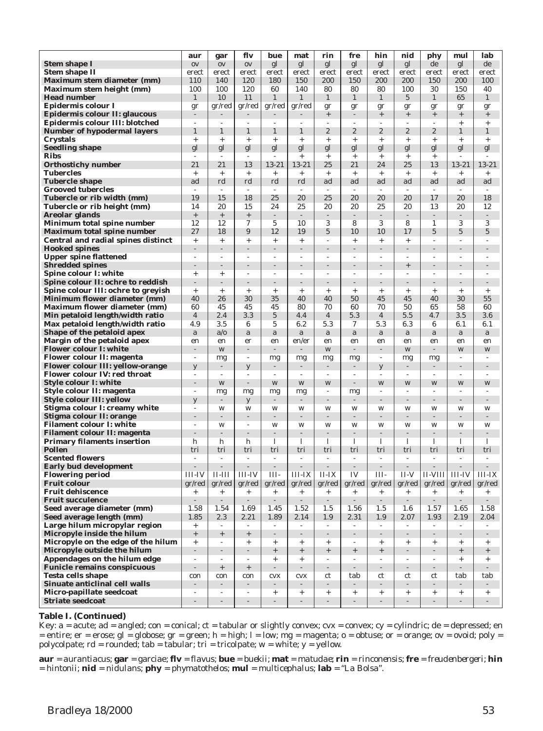|                                                                         | aur                      | gar                             | flv                             | bue                               | mat                      | rin                                 | fre                              | hin                                | nid                      | phy                      | mul                      | lab                      |
|-------------------------------------------------------------------------|--------------------------|---------------------------------|---------------------------------|-----------------------------------|--------------------------|-------------------------------------|----------------------------------|------------------------------------|--------------------------|--------------------------|--------------------------|--------------------------|
| <b>Stem shape I</b>                                                     | 0V                       | 0V                              | 0V                              | gl                                | gl                       | gl                                  | gl                               | gl                                 | gl                       | de                       | gl                       | de                       |
| <b>Stem shape II</b>                                                    | erect                    | erect                           | erect                           | erect                             | erect                    | erect                               | erect                            | erect                              | erect                    | erect                    | erect                    | erect                    |
| Maximum stem diameter (mm)                                              | 110                      | 140                             | 120                             | 180                               | 150                      | 200                                 | 150                              | 200                                | 200                      | 150                      | 200                      | 100                      |
| Maximum stem height (mm)                                                | 100                      | 100                             | 120                             | 60                                | 140                      | 80                                  | 80                               | 80                                 | 100                      | 30                       | 150                      | 40                       |
| <b>Head number</b>                                                      | 1                        | 10                              | 11                              | $\mathbf{1}$                      | $\mathbf{1}$             | $\mathbf{1}$                        | $\mathbf{1}$                     | $\mathbf{1}$                       | $\overline{5}$           | $\mathbf{1}$             | 65                       | $\mathbf{1}$             |
| Epidermis colour I                                                      |                          | gr/red                          | gr/red                          | gr/red                            | gr/red                   | gr                                  | gr                               | gr                                 | gr                       | gr                       | gr                       | gr                       |
| Epidermis colour II: glaucous                                           | $\overline{a}$           |                                 |                                 |                                   |                          | $\qquad \qquad +$                   |                                  | $^{+}$                             | $^{+}$                   | $^{+}$                   | $+$                      | $^{+}$                   |
| Epidermis colour III: blotched                                          | 1                        |                                 |                                 |                                   |                          | ÷                                   |                                  |                                    |                          |                          | $+$                      | $+$                      |
| <b>Number of hypodermal layers</b>                                      |                          | 1                               | 1                               | 1                                 | 1                        | $\boldsymbol{2}$                    | $\overline{2}$                   | $\overline{2}$                     | $\overline{2}$           | $\boldsymbol{2}$         | 1                        | $\mathbf{1}$             |
| <b>Crystals</b>                                                         | $^{+}$                   | $^{+}$                          | $^{+}$                          | $^{+}$                            | $\ddot{}$                | $\ddot{}$                           | $^{+}$                           | $^{+}$                             | $^{+}$                   | $+$                      | $+$                      | $+$                      |
| <b>Seedling shape</b>                                                   | gl                       | gl                              | gl                              | gl                                | gl                       | gl                                  | gl                               | gl                                 | gl                       | gl                       | gl                       | gl                       |
| <b>Ribs</b>                                                             | $\overline{a}$<br>21     | $\overline{\phantom{a}}$<br>21  | ٠<br>13                         | $\overline{\phantom{a}}$<br>13-21 | $^{+}$<br>13-21          | $^{+}$<br>25                        | $^{+}$<br>21                     | $^{+}$<br>24                       | $\ddot{}$<br>25          | $^{+}$<br>13             | ٠<br>13-21               | 13-21                    |
| <b>Orthostichy number</b><br><b>Tubercles</b>                           | $\! + \!\!\!$            | $^{+}$                          | $^{+}$                          | $^{+}$                            | $^{+}$                   | $\ddot{}$                           | $+$                              | $^{+}$                             | $^{+}$                   | $^{+}$                   | $^{+}$                   | $^{+}$                   |
| <b>Tubercle shape</b>                                                   | ad                       | rd                              | rd                              | rd                                | rd                       | ad                                  | ad                               | ad                                 | ad                       | ad                       | ad                       | ad                       |
| <b>Grooved tubercles</b>                                                | ÷                        | $\overline{\phantom{a}}$        | $\sim$                          | ÷,                                | ٠                        | $\sim$                              | $\overline{\phantom{a}}$         | $\sim$                             | $\sim$                   | $\overline{\phantom{a}}$ | ٠                        | ٠                        |
| Tubercle or rib width (mm)                                              | 19                       | 15                              | 18                              | 25                                | 20                       | 25                                  | 20                               | 20                                 | 20                       | 17                       | 20                       | 18                       |
| Tubercle or rib height (mm)                                             | 14                       | 20                              | 15                              | 24                                | 25                       | 20                                  | 20                               | 25                                 | 20                       | 13                       | 20                       | 12                       |
| Areolar glands                                                          | $\! + \!\!\!\!$          | $^+$                            | $\qquad \qquad +$               |                                   |                          | $\overline{a}$                      | $\overline{a}$                   | $\overline{\phantom{a}}$           | $\overline{\phantom{a}}$ |                          | $\overline{a}$           |                          |
| Minimum total spine number                                              | 12                       | 12                              | 7                               | 5                                 | 10                       | 3                                   | 8                                | 3                                  | 8                        | 1                        | 3                        | 3                        |
| <b>Maximum total spine number</b>                                       | 27                       | 18                              | 9                               | 12                                | 19                       | 5                                   | 10                               | 10                                 | 17                       | 5                        | $\overline{5}$           | 5                        |
| Central and radial spines distinct                                      | $\! + \!\!\!$            | $^{+}$                          | $^{+}$                          | $^{+}$                            | $^{+}$                   | $\overline{\phantom{a}}$            | $\ddot{}$                        | $^{+}$                             | $^{+}$                   | Ĭ.                       |                          | $\overline{\phantom{a}}$ |
| <b>Hooked spines</b>                                                    | $\overline{a}$           | $\overline{a}$                  | $\overline{a}$                  | $\overline{a}$                    | L,                       | ÷,                                  |                                  | L,                                 | $\overline{a}$           | L,                       | $\overline{a}$           | $\overline{a}$           |
| <b>Upper spine flattened</b>                                            | L,                       | ٠                               | ٠                               | ٠                                 | ٠                        | $\overline{a}$                      | $\overline{\phantom{a}}$         | ÷,                                 | $\overline{\phantom{a}}$ | Ĭ.                       | ٠                        | ٠                        |
| <b>Shredded spines</b>                                                  |                          |                                 |                                 |                                   |                          | $\overline{a}$                      |                                  |                                    | $\qquad \qquad +$        |                          |                          |                          |
| Spine colour I: white                                                   | $^{+}$                   | $^{+}$                          | ٠                               | $\overline{\phantom{a}}$          | ٠                        | $\overline{a}$                      | $\overline{a}$                   | $\overline{a}$                     | $\sim$                   | ٠                        | $\overline{\phantom{a}}$ | $\overline{\phantom{a}}$ |
| Spine colour II: ochre to reddish<br>Spine colour III: ochre to greyish | -<br>$\! + \!\!\!$       | $^{+}$                          | $^{+}$                          | $^{+}$                            | $\ddot{}$                | $\ddot{}$                           | $\ddot{}$                        | $^{+}$                             | $\ddot{}$                | $\ddot{}$                | $+$                      | $+$                      |
| Minimum flower diameter (mm)                                            | 40                       | 26                              | 30                              | 35                                | 40                       | 40                                  | 50                               | 45                                 | 45                       | 40                       | 30                       | 55                       |
| <b>Maximum flower diameter (mm)</b>                                     | 60                       | 45                              | 45                              | 45                                | 80                       | 70                                  | 60                               | 70                                 | 50                       | 65                       | 58                       | 60                       |
| Min petaloid length/width ratio                                         | $\overline{4}$           | 2.4                             | 3.3                             | $\overline{5}$                    | 4.4                      | $\overline{4}$                      | 5.3                              | $\overline{4}$                     | 5.5                      | 4.7                      | 3.5                      | 3.6                      |
| Max petaloid length/width ratio                                         | 4.9                      | 3.5                             | 6                               | 5                                 | 6.2                      | 5.3                                 | 7                                | 5.3                                | 6.3                      | 6                        | 6.1                      | 6.1                      |
| Shape of the petaloid apex                                              | a                        | $a$ <sub>o</sub>                | a                               | a                                 | a                        | a                                   | a                                | a                                  | a                        | a                        | a                        | $\mathbf a$              |
| Margin of the petaloid apex                                             | en                       | en                              | er                              | en                                | en/er                    | en                                  | en                               | en                                 | en                       | en                       | en                       | en                       |
| <b>Flower colour I: white</b>                                           |                          | W                               |                                 |                                   |                          | W                                   |                                  | $\overline{a}$                     | W                        |                          | W                        | W                        |
| <b>Flower colour II: magenta</b>                                        | ۰                        | mg                              | ÷                               | mg                                | mg                       | mg                                  | mg                               | $\overline{\phantom{a}}$           | mg                       | mg                       | $\overline{\phantom{a}}$ | $\overline{\phantom{a}}$ |
| <b>Flower colour III: yellow-orange</b>                                 | y                        |                                 | y                               |                                   |                          |                                     |                                  | y                                  |                          |                          |                          |                          |
| Flower colour IV: red throat                                            | ÷                        |                                 | $\overline{a}$                  |                                   |                          | $\overline{a}$                      |                                  | $\overline{a}$                     |                          |                          |                          |                          |
| <b>Style colour I: white</b>                                            | $\overline{a}$           | W                               | $\overline{a}$                  | W                                 | W                        | W                                   | $\overline{a}$                   | W                                  | W                        | W                        | W                        | W                        |
| Style colour II: magenta                                                | ÷                        | mg                              | mg                              | mg                                | mg                       | $\overline{a}$                      | mg                               | ÷                                  | $\overline{\phantom{a}}$ | ÷                        |                          |                          |
| <b>Style colour III: yellow</b><br>Stigma colour I: creamy white        | y<br>٠                   | W                               | y<br>W                          | W                                 | W                        | W                                   | W                                | W                                  | W                        | W                        | W                        | W                        |
| Stigma colour II: orange                                                |                          |                                 |                                 |                                   |                          |                                     |                                  |                                    |                          |                          |                          |                          |
| <b>Filament colour I: white</b>                                         | L,                       | W                               | ÷,                              | W                                 | W                        | W                                   | W                                | W                                  | W                        | W                        | W                        | W                        |
| <b>Filament colour II: magenta</b>                                      | $\overline{a}$           | $\overline{a}$                  | $\overline{a}$                  |                                   |                          | $\overline{a}$                      |                                  | L,                                 | L,                       |                          |                          | $\overline{a}$           |
| <b>Primary filaments insertion</b>                                      | h                        | h                               | h                               | 1                                 | 1                        | 1                                   | 1                                | 1                                  | 1                        | 1                        | 1                        | 1                        |
| <b>Pollen</b>                                                           | tri                      | tri                             | tri                             | tri                               | tri                      | tri                                 | tri                              | tri                                | tri                      | tri                      | tri                      | tri                      |
| <b>Scented flowers</b>                                                  | ÷                        | $\sim$                          | ÷                               | $\overline{\phantom{a}}$          | $\overline{\phantom{a}}$ | $\overline{\phantom{a}}$            | $\sim$                           | $\overline{\phantom{a}}$           | $\sim$                   | ÷                        | ÷,                       | $\overline{\phantom{a}}$ |
| <b>Early bud development</b>                                            |                          |                                 |                                 |                                   |                          |                                     | $\overline{a}$                   | $\frac{1}{2}$                      |                          |                          |                          |                          |
| <b>Flowering period</b>                                                 | III-IV                   | $II$ - $III$                    | <b>III-IV</b>                   | III-                              | III-IX                   | $II-IX$                             | IV                               | III-                               | II-V                     | <b>II-VIII</b>           | <b>III-IV</b>            | $III-IX$                 |
| <b>Fruit colour</b>                                                     | gr/red                   | gr/red                          | gr/red                          | gr/red                            | gr/red                   | gr/red                              | gr/red                           | gr/red                             | gr/red                   | gr/red                   | gr/red                   | gr/red                   |
| <b>Fruit dehiscence</b><br><b>Fruit succulence</b>                      | $^{+}$<br>$\overline{a}$ | $\! + \!\!\!$<br>$\overline{a}$ | $\! + \!\!\!$<br>$\overline{a}$ | $+$<br>$\sim$                     | $\! + \!\!\!\!$<br>L,    | $\qquad \qquad +$<br>$\overline{a}$ | $\! + \!\!\!\!$<br>$\mathcal{L}$ | $^{+}$<br>$\overline{\phantom{a}}$ | $^{+}$<br>$\sim$         | $^{+}$<br>÷.             | $\ddot{}$<br>L.          | $^{+}$<br>$\overline{a}$ |
| Seed average diameter (mm)                                              | 1.58                     | 1.54                            | 1.69                            | 1.45                              | 1.52                     | 1.5                                 | 1.56                             | 1.5                                | 1.6                      | 1.57                     | 1.65                     | 1.58                     |
| Seed average length (mm)                                                | 1.85                     | 2.3                             | 2.21                            | 1.89                              | 2.14                     | 1.9                                 | 2.31                             | $1.9\,$                            | 2.07                     | 1.93                     | 2.19                     | 2.04                     |
| Large hilum micropylar region                                           | $\! + \!\!\!$            |                                 |                                 |                                   |                          | $\overline{a}$                      |                                  |                                    |                          |                          |                          |                          |
| Micropyle inside the hilum                                              | $+$                      | $+$                             | $\qquad \qquad +$               | $\overline{\phantom{0}}$          | $\overline{a}$           | $\overline{\phantom{a}}$            | $\overline{\phantom{a}}$         | $\overline{\phantom{a}}$           | $\overline{\phantom{a}}$ |                          | $\frac{1}{2}$            | $\overline{\phantom{a}}$ |
| Micropyle on the edge of the hilum                                      | $+$                      | ÷                               | $+$                             | $^{+}$                            | $+$                      | $\! + \!\!\!\!$                     | ٠                                | $+$                                | $+$                      | $^{+}$                   | $^{+}$                   | $^{+}$                   |
| Micropyle outside the hilum                                             | ÷,                       | ÷.                              |                                 | $\qquad \qquad +$                 | $^+$                     | $^+$                                | $^{+}$                           | $+$                                | $\overline{\phantom{a}}$ |                          | $^+$                     | $\! + \!\!\!\!$          |
| Appendages on the hilum edge                                            | ÷                        | ÷                               | ÷,                              | $^{+}$                            | $+$                      | $\overline{\phantom{a}}$            | ٠                                | ÷,                                 | $\sim$                   | ٠                        | $^{+}$                   | $^{+}$                   |
| <b>Funicle remains conspicuous</b>                                      | $\overline{a}$           | $+$                             | $+$                             | $\sim$                            | $\overline{\phantom{a}}$ | $\overline{\phantom{a}}$            | $\sim$                           | $\sim$                             | $\sim$                   | $\overline{\phantom{a}}$ | $\overline{\phantom{a}}$ | $\overline{\phantom{a}}$ |
| <b>Testa cells shape</b>                                                | con                      | con                             | con                             | <b>CVX</b>                        | cvx                      | ct                                  | tab                              | ct                                 | ct                       | ct                       | tab                      | tab                      |
| Sinuate anticlinal cell walls                                           | $\overline{\phantom{0}}$ | ÷.                              | $\overline{\phantom{a}}$        | $\sim$                            |                          | $\overline{\phantom{a}}$            |                                  | $\sim$                             | $\mathcal{L}$            |                          | $\sim$                   | $\overline{\phantom{a}}$ |
| Micro-papillate seedcoat                                                | ٠                        | $\overline{\phantom{a}}$        | $\overline{a}$                  | $^{+}$                            | $^{+}$                   | $+$                                 | $^{+}$                           | $^{+}$                             | $+$                      | $+$                      | $+$                      | $^{+}$                   |
| <b>Striate seedcoat</b>                                                 | $\frac{1}{2}$            | ÷                               | ÷                               | $\overline{\phantom{a}}$          | $\overline{\phantom{a}}$ | ÷                                   | $\overline{\phantom{a}}$         | $\overline{\phantom{a}}$           | $\overline{\phantom{a}}$ |                          | $\overline{\phantom{a}}$ | $\overline{\phantom{a}}$ |

### **Table I. (Continued)**

Key:  $a = acute$ ;  $ad = angled$ ;  $con = conical$ ;  $ct = tabular$  or slightly convex;  $cvx = convex$ ;  $cy = cylindric$ ;  $de = depressed$ ; en  $=$  entire;  $er =$  erose;  $gl =$  globose;  $gr =$  green;  $h =$  high;  $l =$  low;  $mg =$  magenta;  $o =$  obtuse; or  $=$  orange; ov  $=$  ovoid; poly  $=$ polycolpate;  $rd = rounded$ ;  $tab = tabular$ ;  $tri = tricolpate$ ;  $w = white$ ;  $y = yellow$ .

**aur** = *aurantiacus*; **gar** = garciae; **flv** = *flavus*; **bue** = *buekii*; **mat** = *matudae*; **rin** = r*inconensis*; **fre** = *freudenbergeri*; **hin** = *hintonii*; **nid** = *nidulans*; **phy** = *phymatothelos*; **mul** = *multicephalus*; **lab** = "La Bolsa".